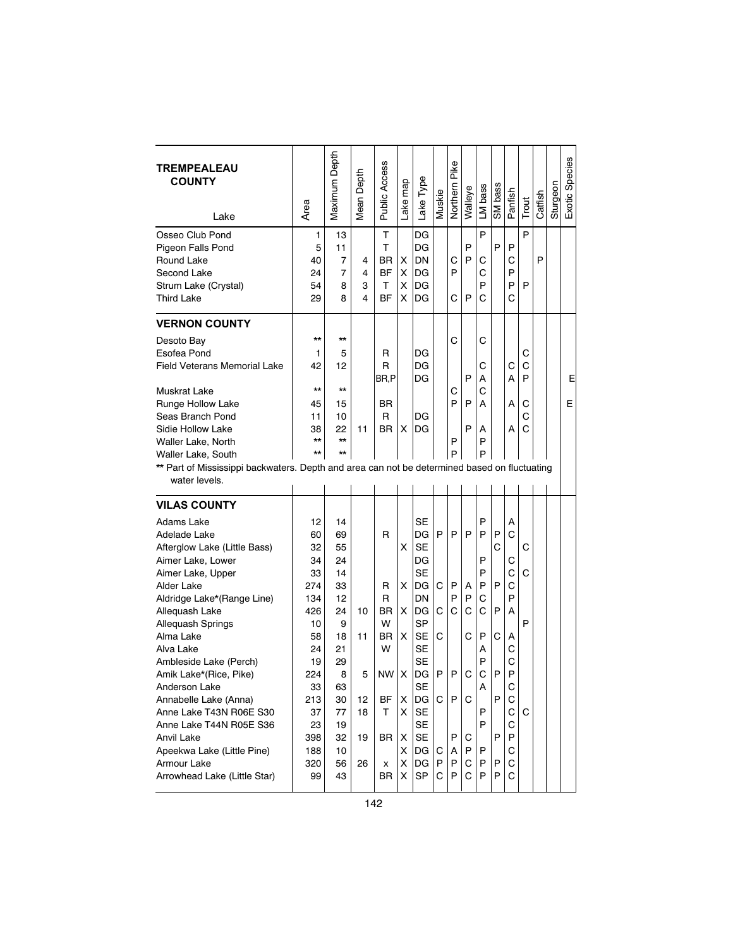| <b>TREMPEALEAU</b><br><b>COUNTY</b><br>Lake                                                                   | Area         | Maximum Depth  | Depth<br>Mean | Public Access | Lake map | Lake Type | Muskie | Northern Pike | Walleye | LM bass | SM bass | Panfish | Trout  | Catfish | Sturgeon | Exotic Species |
|---------------------------------------------------------------------------------------------------------------|--------------|----------------|---------------|---------------|----------|-----------|--------|---------------|---------|---------|---------|---------|--------|---------|----------|----------------|
| Osseo Club Pond<br>Pigeon Falls Pond                                                                          | 1<br>5       | 13<br>11       |               | Τ<br>т        |          | DG<br>DG  |        |               | P       | P       | P       | P       | P      |         |          |                |
| Round Lake                                                                                                    | 40           | $\overline{7}$ | 4             | BR            | X        | DN        |        | С             | P       | С       |         | С       |        | P       |          |                |
| Second Lake                                                                                                   | 24           | 7              | 4             | <b>BF</b>     | X        | DG        |        | P             |         | C       |         | P       |        |         |          |                |
| Strum Lake (Crystal)                                                                                          | 54           | 8              | 3             | т             | X        | DG        |        |               |         | P       |         | P       | P      |         |          |                |
| <b>Third Lake</b>                                                                                             | 29           | 8              | 4             | <b>BF</b>     | х        | DG        |        | C             | P       | C       |         | C       |        |         |          |                |
| <b>VERNON COUNTY</b>                                                                                          |              |                |               |               |          |           |        |               |         |         |         |         |        |         |          |                |
| Desoto Bay                                                                                                    | $\star\star$ | $\star\star$   |               |               |          |           |        | C             |         | С       |         |         |        |         |          |                |
| Esofea Pond                                                                                                   | 1            | 5              |               | R             |          | DG        |        |               |         |         |         |         | С      |         |          |                |
| <b>Field Veterans Memorial Lake</b>                                                                           | 42           | 12             |               | R<br>BR,P     |          | DG<br>DG  |        |               | P       | С<br>Α  |         | С<br>A  | C<br>P |         |          | Е              |
| <b>Muskrat Lake</b>                                                                                           | $\star\star$ | $\star\star$   |               |               |          |           |        | С             |         | С       |         |         |        |         |          |                |
| Runge Hollow Lake                                                                                             | 45           | 15             |               | BR.           |          |           |        | P             | P       | А       |         | A       | С      |         |          | E              |
| Seas Branch Pond                                                                                              | 11           | 10             |               | R             |          | DG        |        |               |         |         |         |         | C      |         |          |                |
| Sidie Hollow Lake                                                                                             | 38           | 22             | 11            | BR.           | X        | DG        |        |               | P       | А       |         | A       | C      |         |          |                |
| Waller Lake, North                                                                                            | $\star\star$ | $\star\star$   |               |               |          |           |        | P             |         | P       |         |         |        |         |          |                |
| <b>Waller Lake, South</b>                                                                                     | $\star\star$ | $\star\star$   |               |               |          |           |        | P             |         | P       |         |         |        |         |          |                |
| ** Part of Mississippi backwaters. Depth and area can not be determined based on fluctuating<br>water levels. |              |                |               |               |          |           |        |               |         |         |         |         |        |         |          |                |
| <b>VILAS COUNTY</b>                                                                                           |              |                |               |               |          |           |        |               |         |         |         |         |        |         |          |                |
| Adams Lake                                                                                                    | 12           | 14             |               |               |          | <b>SE</b> |        |               |         | P       |         | Α       |        |         |          |                |
| Adelade Lake                                                                                                  | 60           | 69             |               | R             |          | DG        | P      | P             | P       | P       | P       | C       |        |         |          |                |
| Afterglow Lake (Little Bass)                                                                                  | 32           | 55             |               |               | X        | <b>SE</b> |        |               |         |         | C       |         | C      |         |          |                |
| Aimer Lake, Lower                                                                                             | 34           | 24             |               |               |          | DG        |        |               |         | P       |         | С       |        |         |          |                |
| Aimer Lake, Upper                                                                                             | 33           | 14             |               |               |          | <b>SE</b> |        |               |         | P       |         | C       | С      |         |          |                |
| Alder Lake                                                                                                    | 274          | 33             |               | R             | X.       | DG        | C      | P             | А       | P       | P       | C       |        |         |          |                |
| Aldridge Lake*(Range Line)                                                                                    | 134          | 12             |               | R             |          | DN        |        | P             | P       | С       |         | P       |        |         |          |                |
| Alleguash Lake                                                                                                | 426          | 24             | 10            | ΒR            | X        | DG        | С      | С             | C       | C       | P       | Α       |        |         |          |                |
| Allequash Springs                                                                                             | 10           | 9              |               | W             |          | <b>SP</b> |        |               |         |         |         |         | P      |         |          |                |
| Alma Lake                                                                                                     | 58           | 18             | 11            | <b>BR</b>     | X.       | <b>SE</b> | С      |               | C       | P       | C       | А       |        |         |          |                |
| Alva Lake                                                                                                     | 24           | 21             |               | W             |          | <b>SE</b> |        |               |         | А       |         | С       |        |         |          |                |
| Ambleside Lake (Perch)                                                                                        | 19           | 29             |               |               |          | <b>SE</b> |        |               |         | P       |         | C<br>P  |        |         |          |                |
| Amik Lake*(Rice, Pike)                                                                                        | 224          | 8              | 5             | <b>NW</b>     | Х        | DG        | P      | P             | С       | С       | P       |         |        |         |          |                |
| Anderson Lake<br>Annabelle Lake (Anna)                                                                        | 33           | 63             |               | ВF            | X        | <b>SE</b> |        | P             | C       | Α       | P       | С<br>С  |        |         |          |                |
| Anne Lake T43N R06E S30                                                                                       | 213<br>37    | 30<br>77       | 12<br>18      | т             | X.       | DG<br>SE  | C      |               |         | P       |         | С       | C      |         |          |                |
| Anne Lake T44N R05E S36                                                                                       | 23           | 19             |               |               |          | <b>SE</b> |        |               |         | P       |         | С       |        |         |          |                |
| Anvil Lake                                                                                                    | 398          | 32             | 19            | BR            | X        | SE        |        | P             | С       |         | P       | P       |        |         |          |                |
| Apeekwa Lake (Little Pine)                                                                                    | 188          | 10             |               |               | X        | DG        | C      | Α             | P       | P       |         | С       |        |         |          |                |
| Armour Lake                                                                                                   | 320          | 56             | 26            | x             | X        | DG        | P      | P             | С       | P       | P       | С       |        |         |          |                |
| Arrowhead Lake (Little Star)                                                                                  | 99           | 43             |               | BR            | X        | SP        | С      | P             | C       | P       | P       | С       |        |         |          |                |
|                                                                                                               |              |                |               |               |          |           |        |               |         |         |         |         |        |         |          |                |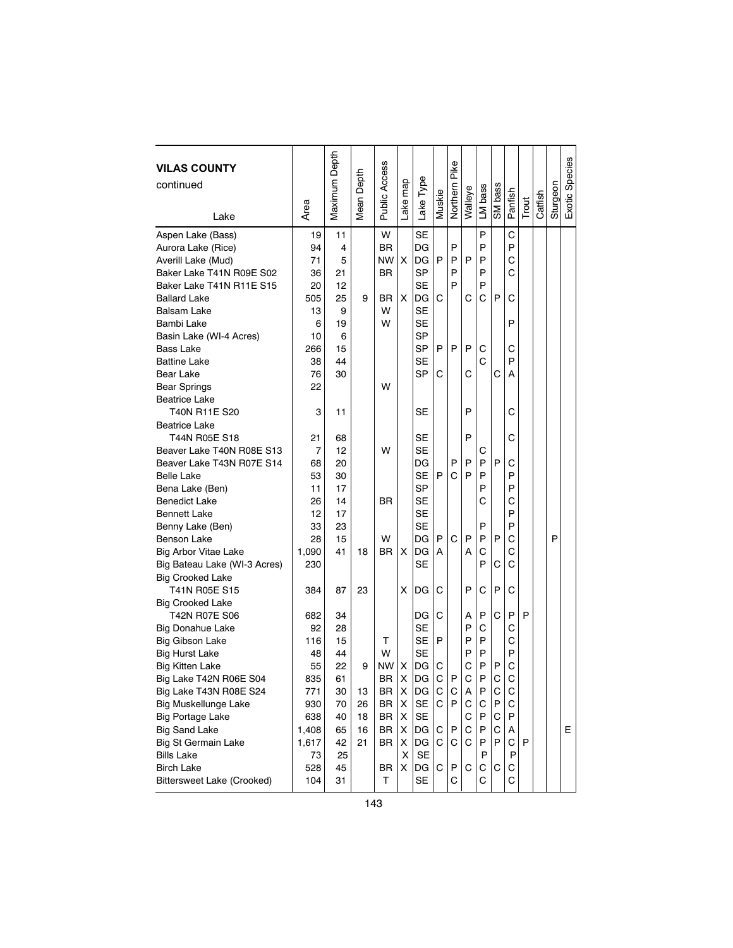| <b>VILAS COUNTY</b><br>continued |       | Maximum Depth | Mean Depth | <b>Public Access</b> |          |           |        | Pike        |         |         |         |         |       |         |          | Exotic Species |
|----------------------------------|-------|---------------|------------|----------------------|----------|-----------|--------|-------------|---------|---------|---------|---------|-------|---------|----------|----------------|
|                                  |       |               |            |                      |          |           |        |             |         |         |         |         |       |         |          |                |
| Lake                             | Area  |               |            |                      | Lake map | Lake Type | Muskie | Northern    | Walleye | LM bass | SM bass | Panfish | Trout | Catfish | Sturgeon |                |
|                                  |       |               |            |                      |          |           |        |             |         |         |         |         |       |         |          |                |
| Aspen Lake (Bass)                | 19    | 11            |            | W                    |          | <b>SE</b> |        |             |         | P       |         | C       |       |         |          |                |
| Aurora Lake (Rice)               | 94    | 4             |            | <b>BR</b>            |          | DG        |        | P           |         | P       |         | P       |       |         |          |                |
| Averill Lake (Mud)               | 71    | 5             |            | NW                   | X        | DG        | P      | P           | P       | P       |         | C       |       |         |          |                |
| Baker Lake T41N R09E S02         | 36    | 21            |            | BR                   |          | SP        |        | P           |         | P       |         | Ć       |       |         |          |                |
| Baker Lake T41N R11E S15         | 20    | 12            |            |                      |          | SE        |        | P           |         | P       |         |         |       |         |          |                |
| <b>Ballard Lake</b>              | 505   | 25            | 9          | BR                   | X.       | DG        | C      |             | C       | С       | P       | С       |       |         |          |                |
| <b>Balsam Lake</b>               | 13    | 9             |            | W                    |          | <b>SE</b> |        |             |         |         |         |         |       |         |          |                |
| Bambi Lake                       | 6     | 19            |            | W                    |          | <b>SE</b> |        |             |         |         |         | P       |       |         |          |                |
| Basin Lake (WI-4 Acres)          | 10    | 6             |            |                      |          | <b>SP</b> |        |             |         |         |         |         |       |         |          |                |
| Bass Lake                        | 266   | 15            |            |                      |          | SP        | P      | P           | P       | С       |         | С       |       |         |          |                |
| <b>Battine Lake</b>              | 38    | 44            |            |                      |          | <b>SE</b> |        |             |         | C       |         | P       |       |         |          |                |
| Bear Lake                        | 76    | 30            |            |                      |          | SP        | С      |             | С       |         | С       | А       |       |         |          |                |
| <b>Bear Springs</b>              | 22    |               |            | W                    |          |           |        |             |         |         |         |         |       |         |          |                |
| <b>Beatrice Lake</b>             |       |               |            |                      |          |           |        |             |         |         |         |         |       |         |          |                |
| T40N R11E S20                    | 3     | 11            |            |                      |          | SE        |        |             | P       |         |         | С       |       |         |          |                |
| <b>Beatrice Lake</b>             |       |               |            |                      |          |           |        |             |         |         |         |         |       |         |          |                |
| T44N R05E S18                    | 21    | 68            |            |                      |          | SE        |        |             | P       |         |         | С       |       |         |          |                |
| Beaver Lake T40N R08E S13        | 7     | 12            |            | W                    |          | SE        |        |             |         | С       |         |         |       |         |          |                |
| Beaver Lake T43N R07E S14        | 68    | 20            |            |                      |          | DG        |        | P           | P       | P       | P       | С       |       |         |          |                |
| <b>Belle Lake</b>                | 53    | 30            |            |                      |          | SE        | P      | C           | P       | P       |         | P       |       |         |          |                |
| Bena Lake (Ben)                  | 11    | 17            |            |                      |          | SP        |        |             |         | P       |         | P       |       |         |          |                |
| <b>Benedict Lake</b>             | 26    | 14            |            | BR                   |          | <b>SE</b> |        |             |         | С       |         | C       |       |         |          |                |
| <b>Bennett Lake</b>              | 12    | 17            |            |                      |          | <b>SE</b> |        |             |         |         |         | P       |       |         |          |                |
| Benny Lake (Ben)                 | 33    | 23            |            |                      |          | <b>SE</b> |        |             |         | P       |         | P       |       |         |          |                |
| Benson Lake                      | 28    | 15            |            | W                    |          | DG        | P      | C           | P       | P       | P       | С       |       |         | P        |                |
| <b>Big Arbor Vitae Lake</b>      | 1,090 | 41            | 18         | BR                   | X        | DG        | A      |             | A       | С       |         | C       |       |         |          |                |
| Big Bateau Lake (WI-3 Acres)     | 230   |               |            |                      |          | <b>SE</b> |        |             |         | P       | С       | С       |       |         |          |                |
| <b>Big Crooked Lake</b>          |       |               |            |                      |          |           |        |             |         |         |         |         |       |         |          |                |
| T41N R05E S15                    | 384   | 87            | 23         |                      | X        | DG        | С      |             | P       | С       | P       | С       |       |         |          |                |
| <b>Big Crooked Lake</b>          |       |               |            |                      |          |           |        |             |         |         |         |         |       |         |          |                |
| T42N R07E S06                    | 682   | 34            |            |                      |          | DG        | С      |             | A       | P       | С       | P       | P     |         |          |                |
| Big Donahue Lake                 | 92    | 28            |            |                      |          | SE        |        |             | P       | С       |         | С       |       |         |          |                |
| <b>Big Gibson Lake</b>           | 116   | 15            |            | т                    |          | <b>SE</b> | P      |             | P       | P       |         | C       |       |         |          |                |
| <b>Big Hurst Lake</b>            | 48    | 44            |            | W                    |          | SE        |        |             | P       | P       |         | P       |       |         |          |                |
| <b>Big Kitten Lake</b>           | 55    | 22            | 9          | <b>NW</b>            | X        | DG<br>Ing | C      |             | C       | P       | P       | C       |       |         |          |                |
| Big Lake T42N R06E S04           | 835   | 61            |            | <b>BR</b>            | X        |           | C.     | P           | C       | P       | C       | C       |       |         |          |                |
| Big Lake T43N R08E S24           | 771   | 30            | 13         | BR                   | х        | DG        | С      | C           | Α       | P       | C       | C       |       |         |          |                |
| <b>Big Muskellunge Lake</b>      | 930   | 70            | 26         | BR                   | X        | $\sf SE$  | C      | $\mathsf P$ | С       | С       | P       | С       |       |         |          |                |
| <b>Big Portage Lake</b>          | 638   | 40            | 18         | BR                   | X        | SE        |        |             | С       | P       | С       | P       |       |         |          |                |
| <b>Big Sand Lake</b>             | 1,408 | 65            | 16         | BR                   | X        | DG        | C      | P           | С       | P       | С       | A       |       |         |          | E.             |
| <b>Big St Germain Lake</b>       | 1,617 | 42            | 21         | BR                   | x        | DG        | С      | С           | С       | Ρ       | P       | С       | P     |         |          |                |
| <b>Bills Lake</b>                | 73    | 25            |            |                      | X        | <b>SE</b> |        |             |         | P       |         | Ρ       |       |         |          |                |
| <b>Birch Lake</b>                | 528   | 45            |            | BR                   | X        | DG        | С      | P           | С       | С       | С       | С       |       |         |          |                |
| Bittersweet Lake (Crooked)       | 104   | 31            |            | т                    |          | <b>SE</b> |        | С           |         | С       |         | C       |       |         |          |                |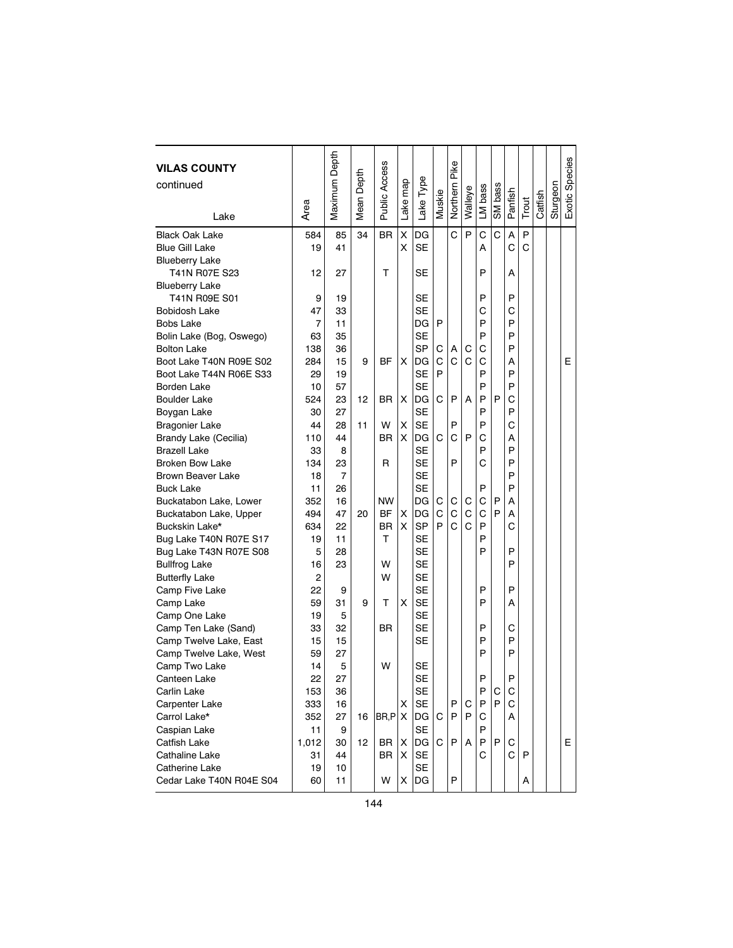| <b>VILAS COUNTY</b><br>continued |       | Maximum Depth | Depth             | Public Access | Lake map | Lake Type | Muskie | Pike<br>Northern | Walleye | LM bass | SM bass | Panfish |       | Catfish | Sturgeon | Exotic Species |
|----------------------------------|-------|---------------|-------------------|---------------|----------|-----------|--------|------------------|---------|---------|---------|---------|-------|---------|----------|----------------|
| Lake                             | Area  |               | Mean <sup>1</sup> |               |          |           |        |                  |         |         |         |         | Trout |         |          |                |
| <b>Black Oak Lake</b>            | 584   | 85            | 34                | <b>BR</b>     | X        | DG        |        | C                | P       | C       | C       | A       | P     |         |          |                |
| <b>Blue Gill Lake</b>            | 19    | 41            |                   |               | X        | SE        |        |                  |         | А       |         | Ć       | C     |         |          |                |
| <b>Blueberry Lake</b>            |       |               |                   |               |          |           |        |                  |         |         |         |         |       |         |          |                |
| T41N R07E S23                    | 12    | 27            |                   | т             |          | SE        |        |                  |         | P       |         | А       |       |         |          |                |
| <b>Blueberry Lake</b>            |       |               |                   |               |          |           |        |                  |         |         |         |         |       |         |          |                |
| T41N R09E S01                    | 9     | 19            |                   |               |          | <b>SE</b> |        |                  |         | P       |         | P       |       |         |          |                |
| Bobidosh Lake                    | 47    | 33            |                   |               |          | SE        |        |                  |         | С       |         | C       |       |         |          |                |
| Bobs Lake                        | 7     | 11            |                   |               |          | DG        | P      |                  |         | P       |         | P       |       |         |          |                |
| Bolin Lake (Bog, Oswego)         | 63    | 35            |                   |               |          | <b>SE</b> |        |                  |         | P       |         | P       |       |         |          |                |
| <b>Bolton Lake</b>               | 138   | 36            |                   |               |          | SP        | C      | А                | C       | C       |         | P       |       |         |          |                |
| Boot Lake T40N R09E S02          | 284   | 15            | 9                 | ΒF            | х        | DG        | C      | C                | C       | C       |         | Α       |       |         |          | Е              |
| Boot Lake T44N R06E S33          | 29    | 19            |                   |               |          | SE        | P      |                  |         | P       |         | P       |       |         |          |                |
| Borden Lake                      | 10    | 57            |                   |               |          | SE        |        |                  |         | P       |         | P       |       |         |          |                |
| <b>Boulder Lake</b>              | 524   | 23            | 12                | <b>BR</b>     | X        | DG        | С      | P                | A       | P       | P       | Ċ       |       |         |          |                |
| Boygan Lake                      | 30    | 27            |                   |               |          | SE        |        |                  |         | P       |         | P       |       |         |          |                |
| <b>Bragonier Lake</b>            | 44    | 28            | 11                | W             | X        | <b>SE</b> |        | P                |         | P       |         | Ċ       |       |         |          |                |
| Brandy Lake (Cecilia)            | 110   | 44            |                   | <b>BR</b>     | X        | DG        | C      | C                | P       | С       |         | А       |       |         |          |                |
| <b>Brazell Lake</b>              | 33    | 8             |                   |               |          | <b>SE</b> |        |                  |         | P       |         | P       |       |         |          |                |
| <b>Broken Bow Lake</b>           | 134   | 23            |                   | R             |          | <b>SE</b> |        | P                |         | С       |         | P       |       |         |          |                |
| <b>Brown Beaver Lake</b>         | 18    | 7             |                   |               |          | <b>SE</b> |        |                  |         |         |         | P       |       |         |          |                |
| <b>Buck Lake</b>                 | 11    | 26            |                   |               |          | <b>SE</b> |        |                  |         | P       |         | P       |       |         |          |                |
| Buckatabon Lake, Lower           | 352   | 16            |                   | <b>NW</b>     |          | DG        | C      | C                | С       | C       | P       | А       |       |         |          |                |
| Buckatabon Lake, Upper           | 494   | 47            | 20                | <b>BF</b>     | X        | DG        | C      | C                | C       | C       | P       | Α       |       |         |          |                |
| Buckskin Lake*                   | 634   | 22            |                   | <b>BR</b>     | х        | SP        | P      | C                | Ć       | P       |         | C       |       |         |          |                |
| Bug Lake T40N R07E S17           | 19    | 11            |                   | т             |          | <b>SE</b> |        |                  |         | P       |         |         |       |         |          |                |
| Bug Lake T43N R07E S08           | 5     | 28            |                   |               |          | SE        |        |                  |         | P       |         | P       |       |         |          |                |
| <b>Bullfrog Lake</b>             | 16    | 23            |                   | W             |          | <b>SE</b> |        |                  |         |         |         | P       |       |         |          |                |
| <b>Butterfly Lake</b>            | 2     |               |                   | W             |          | <b>SE</b> |        |                  |         |         |         |         |       |         |          |                |
| Camp Five Lake                   | 22    | 9             |                   |               |          | <b>SE</b> |        |                  |         | P       |         | P       |       |         |          |                |
| Camp Lake                        | 59    | 31            | 9                 | т             | X        | <b>SE</b> |        |                  |         | P       |         | А       |       |         |          |                |
| Camp One Lake                    | 19    | 5             |                   |               |          | SE        |        |                  |         |         |         |         |       |         |          |                |
| Camp Ten Lake (Sand)             | 33    | 32            |                   | BR.           |          | SE        |        |                  |         | P       |         | С       |       |         |          |                |
| Camp Twelve Lake, East           | 15    | 15            |                   |               |          | SE        |        |                  |         | P       |         | P       |       |         |          |                |
| Camp Twelve Lake, West           | 59    | 27            |                   |               |          |           |        |                  |         | P       |         | P       |       |         |          |                |
| Camp Two Lake                    | 14    | 5             |                   | W             |          | <b>SE</b> |        |                  |         |         |         |         |       |         |          |                |
| Canteen Lake                     | 22    | 27            |                   |               |          | <b>SE</b> |        |                  |         | P       |         | P       |       |         |          |                |
| Carlin Lake                      | 153   | 36            |                   |               |          | SE        |        |                  |         | P       | С       | С       |       |         |          |                |
| Carpenter Lake                   | 333   | 16            |                   |               | x        | <b>SE</b> |        | P                | С       | Ρ       | P       | С       |       |         |          |                |
| Carrol Lake*                     | 352   | 27            | 16                | $B$ R,P $ X $ |          | DG        | С      | P                | P       | С       |         | A       |       |         |          |                |
| Caspian Lake                     | 11    | 9             |                   |               |          | <b>SE</b> |        |                  |         | P       |         |         |       |         |          |                |
| Catfish Lake                     | 1,012 | 30            | 12                | BR            | X        | DG        | C.     | P                | A       | P       | P       | С       |       |         |          | E.             |
| Cathaline Lake                   | 31    | 44            |                   | BR            | X        | <b>SE</b> |        |                  |         | С       |         | C       | P     |         |          |                |
| Catherine Lake                   | 19    | 10            |                   |               |          | <b>SE</b> |        |                  |         |         |         |         |       |         |          |                |
| Cedar Lake T40N R04E S04         | 60    | 11            |                   | W             | X        | DG        |        | P                |         |         |         |         | Α     |         |          |                |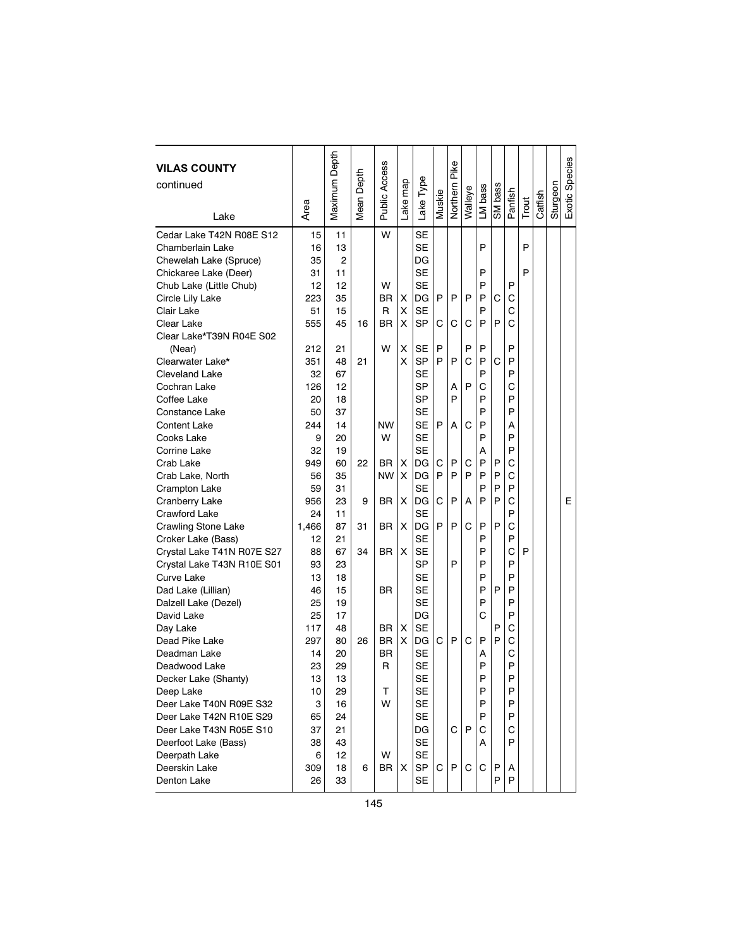| <b>VILAS COUNTY</b><br>continued<br>Lake | Area     | Maximum Depth | Mean Depth | Public Access | Lake map | Lake Type | Muskie | Pike<br>Northern | Walleye | LM bass | SM bass | Panfish | Trout | Catfish | Sturgeon | <b>Exotic Species</b> |
|------------------------------------------|----------|---------------|------------|---------------|----------|-----------|--------|------------------|---------|---------|---------|---------|-------|---------|----------|-----------------------|
| Cedar Lake T42N R08E S12                 | 15       | 11            |            | W             |          | <b>SE</b> |        |                  |         |         |         |         |       |         |          |                       |
| Chamberlain Lake                         | 16       | 13            |            |               |          | <b>SE</b> |        |                  |         | P       |         |         | P     |         |          |                       |
| Chewelah Lake (Spruce)                   | 35       | 2             |            |               |          | DG        |        |                  |         |         |         |         |       |         |          |                       |
| Chickaree Lake (Deer)                    | 31       | 11            |            |               |          | SE        |        |                  |         | P       |         |         | P     |         |          |                       |
| Chub Lake (Little Chub)                  | 12       | 12            |            | W             |          | <b>SE</b> |        |                  |         | P       |         | P       |       |         |          |                       |
| Circle Lily Lake                         | 223      | 35            |            | <b>BR</b>     | х        | DG        | P      | P                | P       | P       | C       | C       |       |         |          |                       |
| Clair Lake                               | 51       | 15            |            | R             | х        | <b>SE</b> |        |                  |         | P       |         | C       |       |         |          |                       |
| Clear Lake                               | 555      | 45            | 16         | ΒR            | X        | SP        | С      | С                | С       | P       | P       | Ć       |       |         |          |                       |
| Clear Lake*T39N R04E S02                 |          |               |            |               |          |           |        |                  |         |         |         |         |       |         |          |                       |
| (Near)                                   | 212      | 21            |            | W             | Χ        | SЕ        | P      |                  | P       | P       |         | P       |       |         |          |                       |
| Clearwater Lake*                         | 351      | 48            | 21         |               | X        | <b>SP</b> | P      | P                | C       | P       | C       | P       |       |         |          |                       |
| <b>Cleveland Lake</b>                    | 32       | 67            |            |               |          | <b>SE</b> |        |                  |         | P       |         | P       |       |         |          |                       |
| Cochran Lake                             | 126      | 12            |            |               |          | <b>SP</b> |        | А                | P       | C       |         | C       |       |         |          |                       |
| Coffee Lake                              | 20       | 18            |            |               |          | <b>SP</b> |        | P                |         | P       |         | P       |       |         |          |                       |
| Constance Lake                           | 50       | 37            |            |               |          | <b>SE</b> |        |                  |         | P       |         | P       |       |         |          |                       |
| <b>Content Lake</b>                      | 244      | 14            |            | <b>NW</b>     |          | <b>SE</b> | P      | A                | C       | P       |         | А       |       |         |          |                       |
| Cooks Lake                               | 9        | 20            |            | W             |          | <b>SE</b> |        |                  |         | P       |         | P       |       |         |          |                       |
| Corrine Lake                             | 32       | 19            |            |               |          | SE        |        |                  |         | Α       |         | P       |       |         |          |                       |
| Crab Lake                                | 949      | 60            | 22         | <b>BR</b>     | X        | DG        | C      | P                | С       | P       | P       | С       |       |         |          |                       |
| Crab Lake, North                         | 56       | 35            |            | <b>NW</b>     | X        | DG        | P      | P                | P       | P       | P       | C       |       |         |          |                       |
| <b>Crampton Lake</b>                     | 59       | 31            |            |               |          | <b>SE</b> |        |                  |         | P       | P       | P       |       |         |          |                       |
| Cranberry Lake                           | 956      | 23            | 9          | BR            | X        | DG        | C      | P                | А       | P       | P       | C       |       |         |          | E                     |
| Crawford Lake                            | 24       | 11            |            |               |          | SE        |        |                  |         |         |         | P       |       |         |          |                       |
| <b>Crawling Stone Lake</b>               | 1,466    | 87            | 31         | <b>BR</b>     | X        | DG        | P      | P                | С       | P       | P       | C       |       |         |          |                       |
| Croker Lake (Bass)                       | 12       | 21            |            |               |          | SE        |        |                  |         | P       |         | P       |       |         |          |                       |
| Crystal Lake T41N R07E S27               | 88       | 67            | 34         | BR            | X        | <b>SE</b> |        |                  |         | P       |         | C       | P     |         |          |                       |
| Crystal Lake T43N R10E S01               | 93       | 23            |            |               |          | <b>SP</b> |        | P                |         | P       |         | P       |       |         |          |                       |
| Curve Lake                               | 13       | 18            |            |               |          | SE        |        |                  |         | P       |         | P       |       |         |          |                       |
| Dad Lake (Lillian)                       | 46       | 15            |            | BR            |          | <b>SE</b> |        |                  |         | P       | P       | P       |       |         |          |                       |
| Dalzell Lake (Dezel)                     | 25       | 19            |            |               |          | <b>SE</b> |        |                  |         | P       |         | P       |       |         |          |                       |
| David Lake                               | 25       | 17            |            |               |          | DG        |        |                  |         | С       |         | P       |       |         |          |                       |
| Day Lake                                 | 117      | 48            |            | BR.           | х        | SE        |        |                  |         |         | P<br>P  | С<br>C  |       |         |          |                       |
| Dead Pike Lake                           | 297      | 80            | 26         | <b>BR</b>     | X        | DG        | С      | P                | С       | P       |         | C       |       |         |          |                       |
| Deadman Lake                             | 14       | 20<br>29      |            | BR.<br>R      |          | SE<br>SE  |        |                  |         | А<br>P  |         | P       |       |         |          |                       |
| Deadwood Lake                            | 23<br>13 | 13            |            |               |          | <b>SE</b> |        |                  |         | P       |         | P       |       |         |          |                       |
| Decker Lake (Shanty)<br>Deep Lake        | 10       | 29            |            | т             |          | <b>SE</b> |        |                  |         | P       |         | P       |       |         |          |                       |
| Deer Lake T40N R09E S32                  | 3        | 16            |            | W             |          | SE        |        |                  |         | P       |         | P       |       |         |          |                       |
| Deer Lake T42N R10E S29                  | 65       | 24            |            |               |          | <b>SE</b> |        |                  |         | P       |         | P       |       |         |          |                       |
| Deer Lake T43N R05E S10                  | 37       | 21            |            |               |          | DG        |        | C                | P       | С       |         | С       |       |         |          |                       |
| Deerfoot Lake (Bass)                     | 38       | 43            |            |               |          | <b>SE</b> |        |                  |         | A       |         | P       |       |         |          |                       |
| Deerpath Lake                            | 6        | 12            |            | W             |          | <b>SE</b> |        |                  |         |         |         |         |       |         |          |                       |
| Deerskin Lake                            | 309      | 18            | 6          | BR            | Χ        | SP        | С      | P                | С       | С       | P       | A       |       |         |          |                       |
| Denton Lake                              | 26       | 33            |            |               |          | <b>SE</b> |        |                  |         |         | P       | P       |       |         |          |                       |
|                                          |          |               |            |               |          |           |        |                  |         |         |         |         |       |         |          |                       |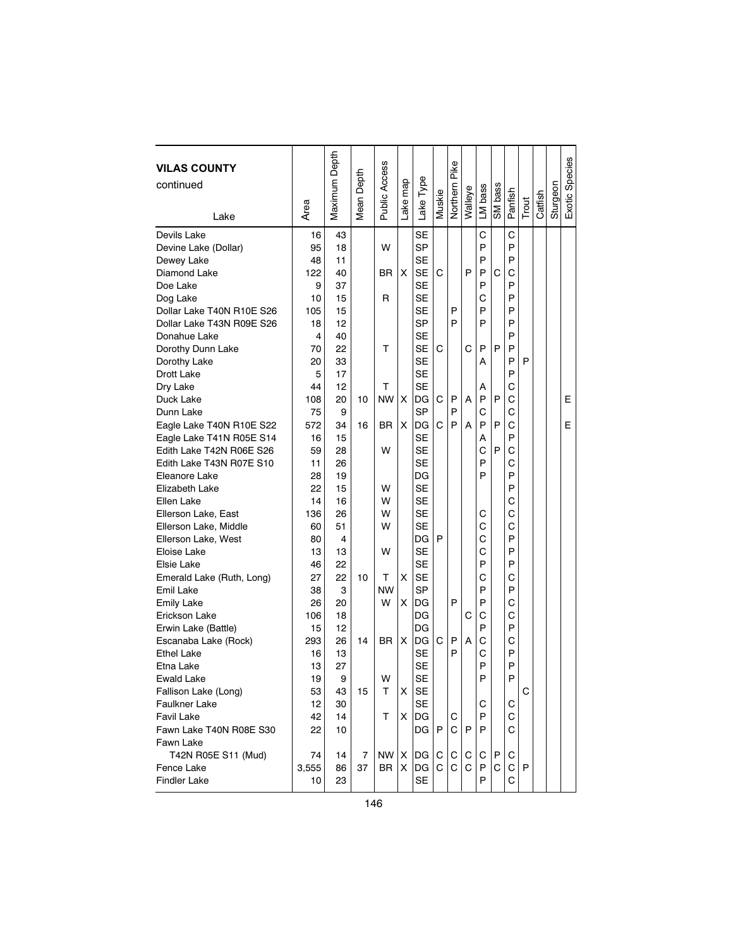| <b>VILAS COUNTY</b><br>continued<br>Lake                          | Area                  | Maximum Depth        | Depth<br>Mean I | Public Access   | Lake map | Lake Type                                        | Vluskie | Northern Pike | Walleye | LM bass          | SM bass | Panfish          | Trout | Catfish | Sturgeon | Exotic Species |
|-------------------------------------------------------------------|-----------------------|----------------------|-----------------|-----------------|----------|--------------------------------------------------|---------|---------------|---------|------------------|---------|------------------|-------|---------|----------|----------------|
|                                                                   |                       |                      |                 |                 |          |                                                  |         |               |         |                  |         |                  |       |         |          |                |
| Devils Lake<br>Devine Lake (Dollar)<br>Dewey Lake<br>Diamond Lake | 16<br>95<br>48<br>122 | 43<br>18<br>11<br>40 |                 | W<br>BR.        | х        | <b>SE</b><br><b>SP</b><br><b>SE</b><br><b>SE</b> | C       |               | P       | C<br>P<br>P<br>P | C       | C<br>P<br>P<br>С |       |         |          |                |
| Doe Lake                                                          | 9                     | 37                   |                 |                 |          | <b>SE</b>                                        |         |               |         | P                |         | P                |       |         |          |                |
| Dog Lake                                                          | 10                    | 15                   |                 | R               |          | <b>SE</b>                                        |         |               |         | C                |         | P                |       |         |          |                |
| Dollar Lake T40N R10E S26                                         | 105                   | 15                   |                 |                 |          | SE                                               |         | P             |         | P                |         | P                |       |         |          |                |
| Dollar Lake T43N R09E S26                                         | 18                    | 12                   |                 |                 |          | <b>SP</b>                                        |         | P             |         | P                |         | P                |       |         |          |                |
| Donahue Lake                                                      | 4                     | 40                   |                 |                 |          | <b>SE</b>                                        |         |               |         |                  |         | P                |       |         |          |                |
| Dorothy Dunn Lake                                                 | 70                    | 22                   |                 | т               |          | <b>SE</b>                                        | C       |               | C       | P                | P       | P                |       |         |          |                |
| Dorothy Lake                                                      | 20                    | 33                   |                 |                 |          | SE                                               |         |               |         | А                |         | P                | P     |         |          |                |
| Drott Lake                                                        | 5                     | 17                   |                 |                 |          | SE                                               |         |               |         |                  |         | P                |       |         |          |                |
| Dry Lake                                                          | 44                    | 12                   |                 | т               |          | <b>SE</b>                                        |         |               |         | А                |         | C                |       |         |          |                |
| Duck Lake                                                         | 108                   | 20                   | 10              | <b>NW</b>       | X        | DG                                               | C       | P             | A       | P                | P       | C                |       |         |          | E              |
| Dunn Lake                                                         | 75                    | 9                    |                 |                 |          | SP                                               |         | P             |         | C                |         | С                |       |         |          |                |
| Eagle Lake T40N R10E S22                                          | 572                   | 34                   | 16              | BR.             | X        | DG                                               | С       | P             | A       | P                | P       | С                |       |         |          | E              |
| Eagle Lake T41N R05E S14                                          | 16                    | 15                   |                 |                 |          | SE                                               |         |               |         | А                |         | P                |       |         |          |                |
| Edith Lake T42N R06E S26                                          | 59                    | 28                   |                 | W               |          | <b>SE</b>                                        |         |               |         | C                | P       | Ċ                |       |         |          |                |
| Edith Lake T43N R07E S10                                          | 11                    | 26                   |                 |                 |          | <b>SE</b>                                        |         |               |         | P                |         | C                |       |         |          |                |
| Eleanore Lake                                                     | 28                    | 19                   |                 |                 |          | DG                                               |         |               |         | P                |         | P                |       |         |          |                |
| Elizabeth Lake                                                    | 22                    | 15                   |                 | W               |          | <b>SE</b>                                        |         |               |         |                  |         | P                |       |         |          |                |
| Ellen Lake                                                        | 14                    | 16                   |                 | W               |          | <b>SE</b>                                        |         |               |         |                  |         | C                |       |         |          |                |
| Ellerson Lake, East                                               | 136                   | 26                   |                 | W               |          | <b>SE</b>                                        |         |               |         | С                |         | C                |       |         |          |                |
| Ellerson Lake, Middle                                             | 60                    | 51                   |                 | W               |          | SE                                               |         |               |         | C                |         | C                |       |         |          |                |
| Ellerson Lake, West                                               | 80                    | 4                    |                 |                 |          | DG                                               | P       |               |         | C                |         | P                |       |         |          |                |
| Eloise Lake                                                       | 13                    | 13                   |                 | W               |          | SE                                               |         |               |         | C                |         | P                |       |         |          |                |
| Elsie Lake                                                        | 46                    | 22                   |                 |                 |          | <b>SE</b>                                        |         |               |         | P                |         | P                |       |         |          |                |
| Emerald Lake (Ruth, Long)                                         | 27                    | 22                   | 10              | т               | x        | SE                                               |         |               |         | C                |         | C                |       |         |          |                |
| Emil Lake                                                         | 38                    | 3                    |                 | <b>NW</b>       |          | SP                                               |         |               |         | P                |         | P                |       |         |          |                |
| <b>Emily Lake</b>                                                 | 26                    | 20                   |                 | W               | х        | DG                                               |         | P             |         | P                |         | C                |       |         |          |                |
| Erickson Lake                                                     | 106                   | 18                   |                 |                 |          | DG                                               |         |               | С       | C                |         | C                |       |         |          |                |
| Erwin Lake (Battle)                                               | 15                    | 12                   |                 |                 |          | DG                                               |         |               |         | P                |         | P                |       |         |          |                |
| Escanaba Lake (Rock)                                              | 293                   | 26                   | 14              | <b>BR</b>       | X        | DG                                               | С       | P             | A       | C                |         | C                |       |         |          |                |
| <b>Ethel Lake</b>                                                 | 16                    | 13                   |                 |                 |          | <b>SE</b>                                        |         | P             |         | C                |         | P                |       |         |          |                |
| Etna Lake                                                         | 13                    | 27                   |                 |                 |          | <b>SE</b>                                        |         |               |         | P                |         | P                |       |         |          |                |
| Ewald Lake                                                        | 19                    | 9                    |                 | W               |          | <b>SE</b>                                        |         |               |         | P                |         | P                |       |         |          |                |
| Fallison Lake (Long)                                              | 53                    | 43                   | 15              | т               | X.       | <b>SE</b>                                        |         |               |         |                  |         |                  | С     |         |          |                |
| <b>Faulkner Lake</b>                                              | 12                    | 30                   |                 |                 |          | SE                                               |         |               |         | С                |         | С                |       |         |          |                |
| <b>Favil Lake</b>                                                 | 42                    | 14                   |                 | т               | X.       | DG                                               |         | С             |         | P                |         | С                |       |         |          |                |
| Fawn Lake T40N R08E S30<br>Fawn Lake                              | 22                    | 10                   |                 |                 |          | DG                                               | P       | C             | P       | P                |         | С                |       |         |          |                |
| T42N R05E S11 (Mud)                                               | 74                    | 14                   | 7               | NW <sub>1</sub> | X        | DG                                               | С       | С             | С       | С                | Р       | С                |       |         |          |                |
| Fence Lake                                                        | 3,555                 | 86                   | 37              | BR              | X        | DG                                               | C       | C             | С       | P                | C.      | С                | P     |         |          |                |
| <b>Findler Lake</b>                                               | 10                    | 23                   |                 |                 |          | <b>SE</b>                                        |         |               |         | P                |         | C                |       |         |          |                |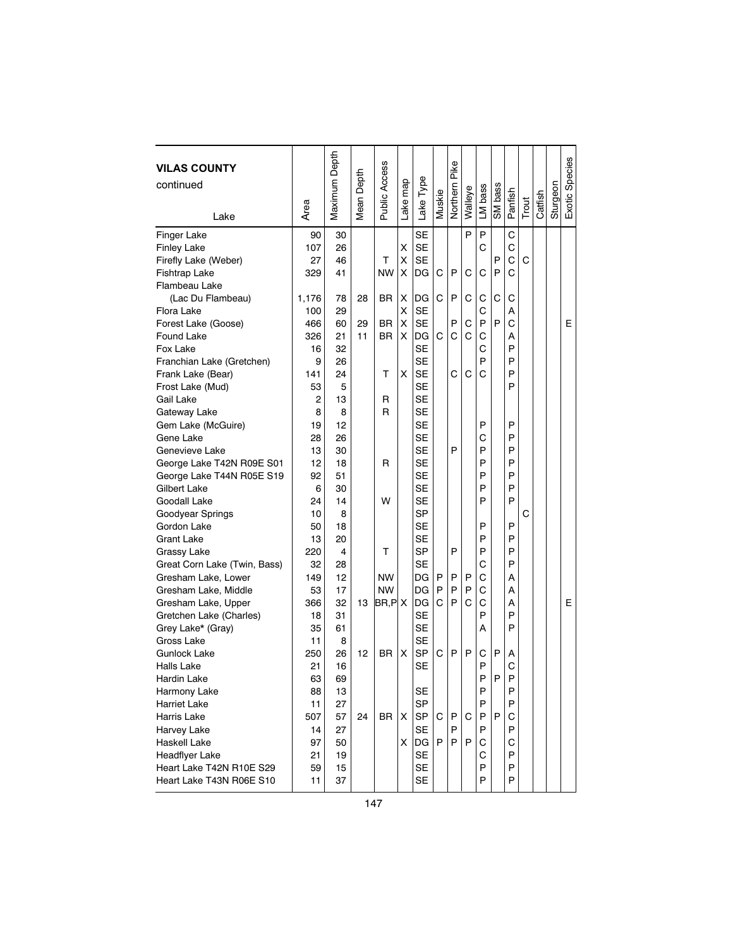| <b>VILAS COUNTY</b><br>continued | Area  | Maximum Depth | Mean Depth | <b>Public Access</b> | ake map | Lake Type | Muskie | Pike<br>Northern | Walleye | LM bass | SM bass | Panfish | Trout | Catfish | Sturgeon | Exotic Species |
|----------------------------------|-------|---------------|------------|----------------------|---------|-----------|--------|------------------|---------|---------|---------|---------|-------|---------|----------|----------------|
| Lake                             |       |               |            |                      |         |           |        |                  |         |         |         |         |       |         |          |                |
| Finger Lake                      | 90    | 30            |            |                      |         | <b>SE</b> |        |                  | P       | P       |         | C       |       |         |          |                |
| <b>Finley Lake</b>               | 107   | 26            |            |                      | Χ       | <b>SE</b> |        |                  |         | C       |         | C       |       |         |          |                |
| Firefly Lake (Weber)             | 27    | 46            |            | т                    | Χ       | <b>SE</b> |        |                  |         |         | P       | Ċ       | C     |         |          |                |
| Fishtrap Lake                    | 329   | 41            |            | <b>NW</b>            | Χ       | DG        | C      | P                | C       | C       | P       | Ć       |       |         |          |                |
| Flambeau Lake                    |       |               |            |                      |         |           |        |                  |         |         |         |         |       |         |          |                |
| (Lac Du Flambeau)                | 1,176 | 78            | 28         | BR                   | X       | DG        | C      | P                | C       | С       | C       | С       |       |         |          |                |
| Flora Lake                       | 100   | 29            |            |                      | Χ       | <b>SE</b> |        |                  |         | С       |         | А       |       |         |          |                |
| Forest Lake (Goose)              | 466   | 60            | 29         | BR                   | х       | <b>SE</b> |        | P                | C       | P       | P       | Ċ       |       |         |          | Е              |
| Found Lake                       | 326   | 21            | 11         | <b>BR</b>            | X       | DG        | C      | Ċ                | C       | C       |         | Α       |       |         |          |                |
| Fox Lake                         | 16    | 32            |            |                      |         | <b>SE</b> |        |                  |         | С       |         | P       |       |         |          |                |
| Franchian Lake (Gretchen)        | 9     | 26            |            |                      |         | <b>SE</b> |        |                  |         | P       |         | P       |       |         |          |                |
| Frank Lake (Bear)                | 141   | 24            |            | т                    | X       | <b>SE</b> |        | C                | C       | C       |         | P       |       |         |          |                |
| Frost Lake (Mud)                 | 53    | 5             |            |                      |         | <b>SE</b> |        |                  |         |         |         | P       |       |         |          |                |
| Gail Lake                        | 2     | 13            |            | R                    |         | <b>SE</b> |        |                  |         |         |         |         |       |         |          |                |
| Gateway Lake                     | 8     | 8             |            | R                    |         | <b>SE</b> |        |                  |         |         |         |         |       |         |          |                |
| Gem Lake (McGuire)               | 19    | 12            |            |                      |         | <b>SE</b> |        |                  |         | P       |         | P       |       |         |          |                |
| Gene Lake                        | 28    | 26            |            |                      |         | <b>SE</b> |        |                  |         | С       |         | P       |       |         |          |                |
| Genevieve Lake                   | 13    | 30            |            |                      |         | <b>SE</b> |        | P                |         | P       |         | P       |       |         |          |                |
| George Lake T42N R09E S01        | 12    | 18            |            | R                    |         | <b>SE</b> |        |                  |         | P       |         | P       |       |         |          |                |
| George Lake T44N R05E S19        | 92    | 51            |            |                      |         | <b>SE</b> |        |                  |         | P       |         | P       |       |         |          |                |
| Gilbert Lake                     | 6     | 30            |            |                      |         | <b>SE</b> |        |                  |         | P       |         | P       |       |         |          |                |
| Goodall Lake                     | 24    | 14            |            | W                    |         | <b>SE</b> |        |                  |         | P       |         | P       |       |         |          |                |
| Goodyear Springs                 | 10    | 8             |            |                      |         | <b>SP</b> |        |                  |         |         |         |         | C     |         |          |                |
| Gordon Lake                      | 50    | 18            |            |                      |         | <b>SE</b> |        |                  |         | P       |         | P       |       |         |          |                |
| <b>Grant Lake</b>                | 13    | 20            |            |                      |         | <b>SE</b> |        |                  |         | P       |         | P       |       |         |          |                |
| Grassy Lake                      | 220   | 4             |            | т                    |         | <b>SP</b> |        | P                |         | P       |         | P       |       |         |          |                |
| Great Corn Lake (Twin, Bass)     | 32    | 28            |            |                      |         | <b>SE</b> |        |                  |         | C       |         | P       |       |         |          |                |
| Gresham Lake, Lower              | 149   | 12            |            | <b>NW</b>            |         | DG        | P      | P                | P       | С       |         | А       |       |         |          |                |
| Gresham Lake, Middle             | 53    | 17            |            | <b>NW</b>            |         | DG        | P      | P                | P       | C       |         | А       |       |         |          |                |
| Gresham Lake, Upper              | 366   | 32            | 13         | $B$ R,P $ X$         |         | DG        | C      | P                | C       | C       |         | А       |       |         |          | E              |
| Gretchen Lake (Charles)          | 18    | 31            |            |                      |         | <b>SE</b> |        |                  |         | P       |         | P       |       |         |          |                |
| Grey Lake* (Gray)                | 35    | 61            |            |                      |         | <b>SE</b> |        |                  |         | А       |         | P       |       |         |          |                |
| Gross Lake                       | 11    | 8             |            |                      |         | <b>SE</b> |        |                  |         |         |         |         |       |         |          |                |
| Gunlock Lake                     | 250   | 26            | 12         | BR                   | X       | <b>SP</b> | C      | P                | P       | C       | P       | A       |       |         |          |                |
| Halls Lake                       | 21    | 16            |            |                      |         | <b>SE</b> |        |                  |         | P       |         | C       |       |         |          |                |
| Hardin Lake                      | 63    | 69            |            |                      |         |           |        |                  |         | P       | P       | P       |       |         |          |                |
| Harmony Lake                     | 88    | 13            |            |                      |         | <b>SE</b> |        |                  |         | P       |         | P       |       |         |          |                |
| <b>Harriet Lake</b>              | 11    | 27            |            |                      |         | <b>SP</b> |        |                  |         | P       |         | P       |       |         |          |                |
| Harris Lake                      | 507   | 57            | 24         | <b>BR</b>            | х       | SP        | C      | P                | С       | P       | P       | С       |       |         |          |                |
| Harvey Lake                      | 14    | 27            |            |                      |         | <b>SE</b> |        | P                |         | P       |         | P       |       |         |          |                |
| Haskell Lake                     | 97    | 50            |            |                      | X       | DG        | P      | P                | P       | С       |         | С       |       |         |          |                |
| Headflyer Lake                   | 21    | 19            |            |                      |         | <b>SE</b> |        |                  |         | C       |         | P       |       |         |          |                |
| Heart Lake T42N R10E S29         | 59    | 15            |            |                      |         | <b>SE</b> |        |                  |         | P       |         | P       |       |         |          |                |
| Heart Lake T43N R06E S10         | 11    | 37            |            |                      |         | <b>SE</b> |        |                  |         | P       |         | P       |       |         |          |                |
|                                  |       |               |            |                      |         |           |        |                  |         |         |         |         |       |         |          |                |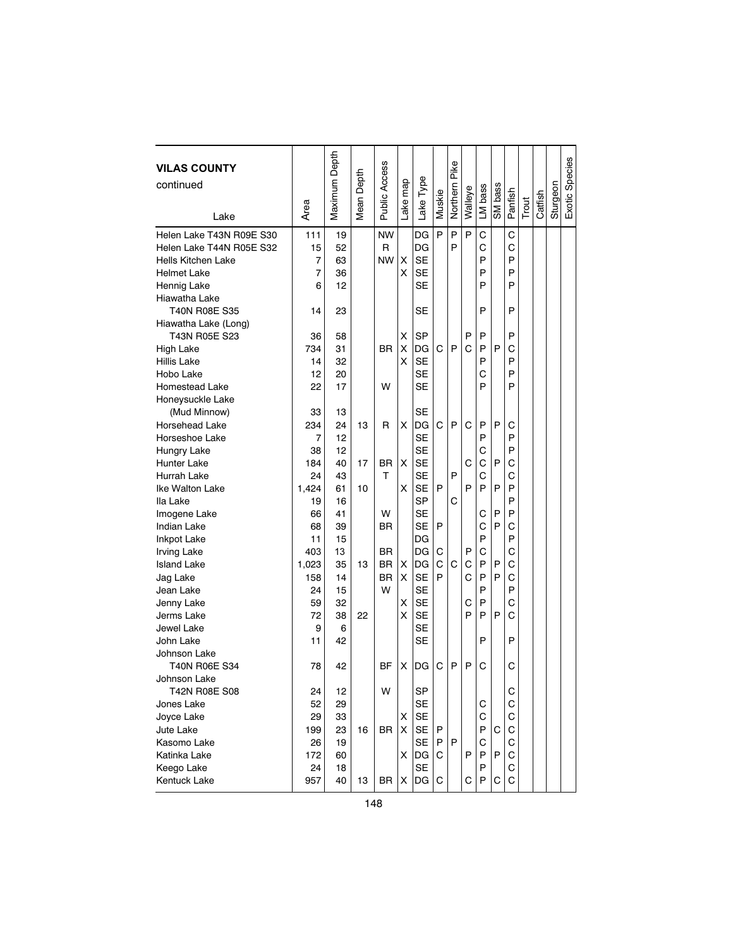| <b>VILAS COUNTY</b><br>continued |       | Maximum Depth | Mean Depth | Public Access |         |           |        | Pike     |         |         |         |         |       |         |          | Exotic Species |
|----------------------------------|-------|---------------|------------|---------------|---------|-----------|--------|----------|---------|---------|---------|---------|-------|---------|----------|----------------|
|                                  |       |               |            |               |         |           |        |          |         |         |         |         |       |         |          |                |
|                                  | Area  |               |            |               | ake map | Lake Type | Muskie | Northern | Walleye | LM bass | SM bass | Panfish | Trout | Catfish | Sturgeon |                |
| Lake                             |       |               |            |               |         |           |        |          |         |         |         |         |       |         |          |                |
| Helen Lake T43N R09E S30         | 111   | 19            |            | <b>NW</b>     |         | DG        | P      | P        | P       | C       |         | C       |       |         |          |                |
| Helen Lake T44N R05E S32         | 15    | 52            |            | R             |         | DG        |        | P        |         | C       |         | C       |       |         |          |                |
| Hells Kitchen Lake               | 7     | 63            |            | <b>NW</b>     | X       | <b>SE</b> |        |          |         | P       |         | P       |       |         |          |                |
| <b>Helmet Lake</b>               | 7     | 36            |            |               | X       | <b>SE</b> |        |          |         | P       |         | P       |       |         |          |                |
| Hennig Lake                      | 6     | 12            |            |               |         | <b>SE</b> |        |          |         | P       |         | P       |       |         |          |                |
| Hiawatha Lake                    |       |               |            |               |         |           |        |          |         |         |         |         |       |         |          |                |
| <b>T40N R08E S35</b>             | 14    | 23            |            |               |         | SE        |        |          |         | P       |         | P       |       |         |          |                |
| Hiawatha Lake (Long)             |       |               |            |               |         |           |        |          |         |         |         |         |       |         |          |                |
| T43N R05E S23                    | 36    | 58            |            |               | х       | <b>SP</b> |        |          | P       | P       |         | P       |       |         |          |                |
| <b>High Lake</b>                 | 734   | 31            |            | BR            | X       | DG        | C      | P        | Ć       | P       | P       | С       |       |         |          |                |
| <b>Hillis Lake</b>               | 14    | 32            |            |               | X       | <b>SE</b> |        |          |         | P       |         | P       |       |         |          |                |
| Hobo Lake                        | 12    | 20            |            |               |         | SE        |        |          |         | C       |         | P       |       |         |          |                |
| <b>Homestead Lake</b>            | 22    | 17            |            | W             |         | SE        |        |          |         | P       |         | P       |       |         |          |                |
| Honeysuckle Lake                 |       |               |            |               |         |           |        |          |         |         |         |         |       |         |          |                |
| (Mud Minnow)                     | 33    | 13            |            |               |         | SЕ        |        |          |         |         |         |         |       |         |          |                |
| Horsehead Lake                   | 234   | 24            | 13         | R             | X       | DG        | С      | P        | C       | P       | P       | С       |       |         |          |                |
| Horseshoe Lake                   | 7     | 12            |            |               |         | <b>SE</b> |        |          |         | P       |         | P       |       |         |          |                |
| Hungry Lake                      | 38    | 12            |            |               |         | <b>SE</b> |        |          |         | C       |         | P       |       |         |          |                |
| Hunter Lake                      | 184   | 40            | 17         | <b>BR</b>     | X       | <b>SE</b> |        |          | C       | С       | P       | С       |       |         |          |                |
| Hurrah Lake                      | 24    | 43            |            | т             |         | <b>SE</b> |        | P        |         | C       |         | С       |       |         |          |                |
| Ike Walton Lake                  | 1.424 | 61            | 10         |               | X       | <b>SE</b> | P      |          | P       | P       | P       | P       |       |         |          |                |
| Ila Lake                         | 19    | 16            |            |               |         | <b>SP</b> |        | С        |         |         |         | P       |       |         |          |                |
| Imogene Lake                     | 66    | 41            |            | W             |         | <b>SE</b> |        |          |         | С       | P       | P       |       |         |          |                |
| <b>Indian Lake</b>               | 68    | 39            |            | ΒR            |         | <b>SE</b> | P      |          |         | С       | P       | С       |       |         |          |                |
| <b>Inkpot Lake</b>               | 11    | 15            |            |               |         | DG        |        |          |         | P       |         | P       |       |         |          |                |
| <b>Irving Lake</b>               | 403   | 13            |            | ΒR            |         | DG        | C      |          | P       | C       |         | C       |       |         |          |                |
| <b>Island Lake</b>               | 1,023 | 35            | 13         | <b>BR</b>     | X       | DG        | C      | С        | C       | P       | P       | C       |       |         |          |                |
| Jag Lake                         | 158   | 14            |            | <b>BR</b>     | X       | SE        | P      |          | C       | P       | P       | C       |       |         |          |                |
| Jean Lake                        | 24    | 15            |            | W             |         | <b>SE</b> |        |          |         | P       |         | P       |       |         |          |                |
| Jenny Lake                       | 59    | 32            |            |               | X       | <b>SE</b> |        |          | С       | P       |         | C       |       |         |          |                |
| Jerms Lake                       | 72    | 38            | 22         |               | X       | <b>SE</b> |        |          | P       | P       | P       | C       |       |         |          |                |
| Jewel Lake                       | 9     | 6             |            |               |         | <b>SE</b> |        |          |         |         |         |         |       |         |          |                |
| John Lake                        | 11    | 42            |            |               |         | <b>SE</b> |        |          |         | P       |         | P       |       |         |          |                |
| Johnson Lake                     |       |               |            |               |         |           |        |          |         |         |         |         |       |         |          |                |
| <b>T40N R06E S34</b>             | 78    | 42            |            | <b>BF</b>     | х       | DG        | С      | P        | P       | С       |         | С       |       |         |          |                |
| Johnson Lake                     |       |               |            |               |         |           |        |          |         |         |         |         |       |         |          |                |
| T42N R08E S08                    | 24    | 12            |            | W             |         | <b>SP</b> |        |          |         |         |         | С       |       |         |          |                |
| Jones Lake                       | 52    | 29            |            |               |         | SE        |        |          |         | С       |         | С       |       |         |          |                |
| Joyce Lake                       | 29    | 33            |            |               | х       | SE        |        |          |         | С       |         | C       |       |         |          |                |
| Jute Lake                        | 199   | 23            | 16         | BR            | X       | SE        | P      |          |         | P       | С       | С       |       |         |          |                |
| Kasomo Lake                      | 26    | 19            |            |               |         | SE        | P      | P        |         | C       |         | С       |       |         |          |                |
| Katinka Lake                     | 172   | 60            |            |               | X       | DG        | C      |          | P       | P       | P       | С       |       |         |          |                |
| Keego Lake                       | 24    | 18            |            |               |         | <b>SE</b> |        |          |         | P       |         | С       |       |         |          |                |
| Kentuck Lake                     | 957   | 40            | 13         | BR            | Χ       | DG        | С      |          | С       | P       | С       | С       |       |         |          |                |
|                                  |       |               |            |               |         |           |        |          |         |         |         |         |       |         |          |                |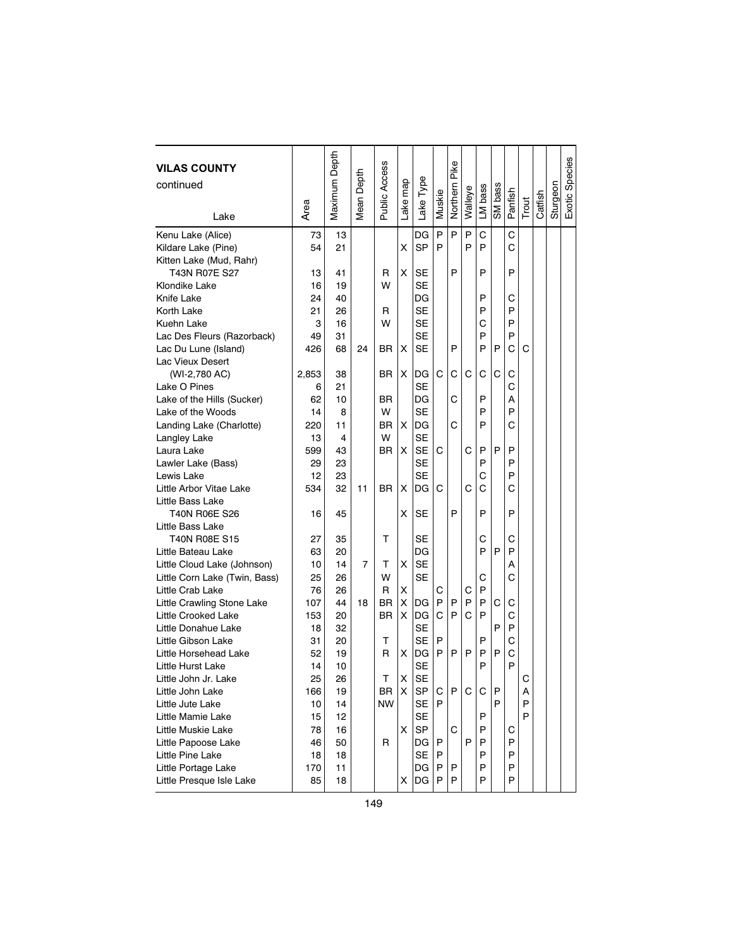| <b>VILAS COUNTY</b><br>continued<br>Lake   | Area     | Maximum Depth | Mean Depth | Public Access | ake map | Lake Type              | Muskie | Pike<br>Northern | Walleye | LM bass | SM bass | Panfish | Trout | Catfish | Sturgeon | Exotic Species |
|--------------------------------------------|----------|---------------|------------|---------------|---------|------------------------|--------|------------------|---------|---------|---------|---------|-------|---------|----------|----------------|
|                                            |          |               |            |               |         |                        |        |                  |         |         |         |         |       |         |          |                |
| Kenu Lake (Alice)                          | 73       | 13            |            |               |         | DG<br><b>SP</b>        | P      | P                | P<br>P  | C<br>P  |         | C       |       |         |          |                |
| Kildare Lake (Pine)                        | 54       | 21            |            |               | X       |                        | P      |                  |         |         |         | C       |       |         |          |                |
| Kitten Lake (Mud, Rahr)                    |          |               |            |               |         |                        |        | P                |         | P       |         |         |       |         |          |                |
| T43N R07E S27                              | 13       | 41            |            | R<br>W        | X       | <b>SE</b><br><b>SE</b> |        |                  |         |         |         | P       |       |         |          |                |
| Klondike Lake                              | 16       | 19            |            |               |         |                        |        |                  |         | P       |         |         |       |         |          |                |
| Knife Lake                                 | 24       | 40            |            |               |         | DG<br><b>SE</b>        |        |                  |         | P       |         | С<br>P  |       |         |          |                |
| Korth Lake                                 | 21       | 26            |            | R             |         |                        |        |                  |         |         |         | P       |       |         |          |                |
| Kuehn Lake                                 | 3        | 16            |            | W             |         | <b>SE</b><br><b>SE</b> |        |                  |         | С<br>P  |         | P       |       |         |          |                |
| Lac Des Fleurs (Razorback)                 | 49       | 31            |            |               |         |                        |        | P                |         | P       |         |         |       |         |          |                |
| Lac Du Lune (Island)                       | 426      | 68            | 24         | ΒR            | х       | <b>SE</b>              |        |                  |         |         | P       | С       | C     |         |          |                |
| Lac Vieux Desert                           |          |               |            |               |         |                        |        |                  |         |         |         |         |       |         |          |                |
| (WI-2,780 AC)                              | 2,853    | 38            |            | ΒR            | X       | DG<br><b>SE</b>        | C      | С                | С       | С       | C       | С<br>C  |       |         |          |                |
| Lake O Pines<br>Lake of the Hills (Sucker) | 6<br>62  | 21<br>10      |            | ΒR            |         | DG                     |        | С                |         | P       |         | Α       |       |         |          |                |
| Lake of the Woods                          | 14       | 8             |            | W             |         | <b>SE</b>              |        |                  |         | P       |         | P       |       |         |          |                |
|                                            | 220      | 11            |            | ΒR            | X       | DG                     |        | С                |         | P       |         | С       |       |         |          |                |
| Landing Lake (Charlotte)                   | 13       | 4             |            | W             |         | SE                     |        |                  |         |         |         |         |       |         |          |                |
| Langley Lake<br>Laura Lake                 | 599      | 43            |            | ΒR            | X       | <b>SE</b>              | C      |                  | С       | P       | P       | P       |       |         |          |                |
|                                            |          |               |            |               |         | <b>SE</b>              |        |                  |         | P       |         | P       |       |         |          |                |
| Lawler Lake (Bass)<br>Lewis Lake           | 29<br>12 | 23<br>23      |            |               |         | <b>SE</b>              |        |                  |         |         |         | P       |       |         |          |                |
| Little Arbor Vitae Lake                    |          | 32            | 11         | <b>BR</b>     | X       | DG                     | C      |                  | C       | С<br>С  |         | С       |       |         |          |                |
| Little Bass Lake                           | 534      |               |            |               |         |                        |        |                  |         |         |         |         |       |         |          |                |
| T40N R06E S26                              | 16       | 45            |            |               | X       | <b>SE</b>              |        | P                |         | P       |         | P       |       |         |          |                |
| Little Bass Lake                           |          |               |            |               |         |                        |        |                  |         |         |         |         |       |         |          |                |
| <b>T40N R08E S15</b>                       | 27       | 35            |            | т             |         | SE                     |        |                  |         | С       |         | С       |       |         |          |                |
| Little Bateau Lake                         | 63       | 20            |            |               |         | DG                     |        |                  |         | P       | P       | P       |       |         |          |                |
| Little Cloud Lake (Johnson)                | 10       | 14            | 7          | т             | X       | <b>SE</b>              |        |                  |         |         |         | А       |       |         |          |                |
| Little Corn Lake (Twin, Bass)              | 25       | 26            |            | W             |         | SE                     |        |                  |         | С       |         | C       |       |         |          |                |
| Little Crab Lake                           | 76       | 26            |            | R             | x       |                        | С      |                  | С       | P       |         |         |       |         |          |                |
| Little Crawling Stone Lake                 | 107      | 44            | 18         | ΒR            | X       | DG                     | P      | P                | P       | P       | C       | С       |       |         |          |                |
| Little Crooked Lake                        | 153      | 20            |            | <b>BR</b>     | X       | DG                     | C      | P                | Ć       | P       |         | C       |       |         |          |                |
| Little Donahue Lake                        | 18       | 32            |            |               |         | SE                     |        |                  |         |         | P       | P       |       |         |          |                |
| Little Gibson Lake                         | 31       | 20            |            | т             |         | SE                     | P      |                  |         | P       |         | С       |       |         |          |                |
| Little Horsehead Lake                      | 52       | 19            |            | R             | x       | DG                     | P      | P                | P       | P       | P       | С       |       |         |          |                |
| Little Hurst Lake                          | 14       | 10            |            |               |         | <b>SE</b>              |        |                  |         | P       |         | P       |       |         |          |                |
| Little John Jr. Lake                       | 25       | 26            |            | T.            | X       | <b>SE</b>              |        |                  |         |         |         |         | C     |         |          |                |
| Little John Lake                           | 166      | 19            |            | <b>BR</b>     | х       | SP                     | C      | P                | C       | С       | Ρ       |         | Α     |         |          |                |
| Little Jute Lake                           | 10       | 14            |            | NW            |         | SE                     | P      |                  |         |         | P       |         | P     |         |          |                |
| Little Mamie Lake                          | 15       | 12            |            |               |         | SE                     |        |                  |         | P       |         |         | P     |         |          |                |
| Little Muskie Lake                         | 78       | 16            |            |               | X       | SP                     |        | C                |         | P       |         | С       |       |         |          |                |
| Little Papoose Lake                        | 46       | 50            |            | R             |         | DG                     | P      |                  | P       | P       |         | P       |       |         |          |                |
| Little Pine Lake                           | 18       | 18            |            |               |         | SE                     | P      |                  |         | P       |         | P       |       |         |          |                |
| Little Portage Lake                        | 170      | 11            |            |               |         | DG                     | P      | P                |         | P       |         | P       |       |         |          |                |
| Little Presque Isle Lake                   | 85       | 18            |            |               | X       | DG                     | P      | P                |         | P       |         | P       |       |         |          |                |
|                                            |          |               |            |               |         |                        |        |                  |         |         |         |         |       |         |          |                |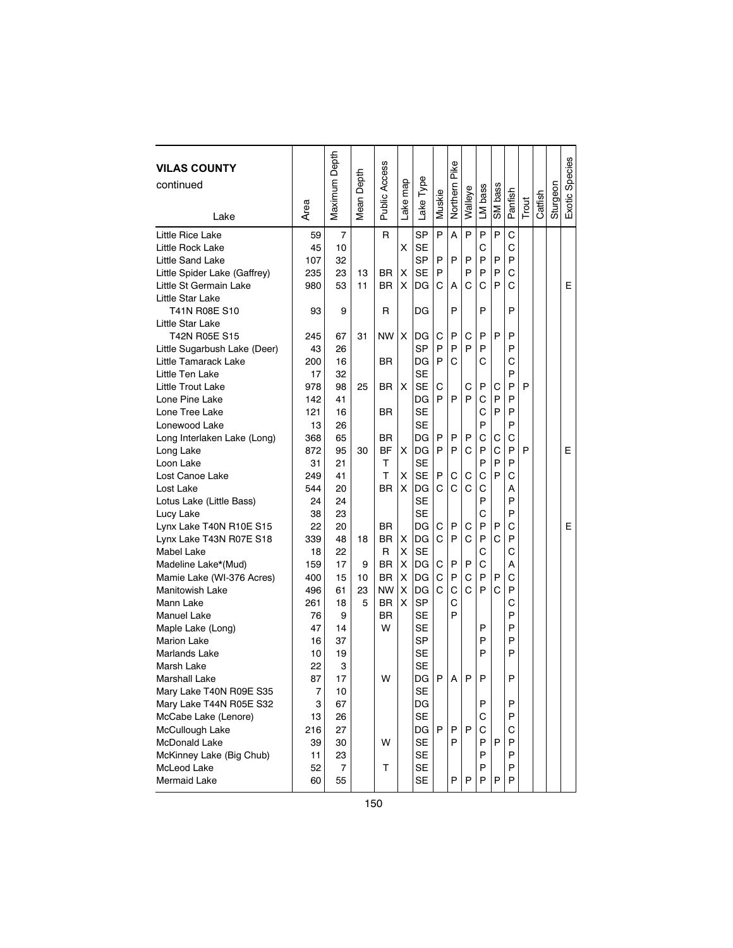| <b>VILAS COUNTY</b><br>continued | Area | Maximum Depth  | Depth<br>Mean I | Public Access | Lake map | Lake Type | Muskie | Pike<br>Northern | Walleye | LM bass | SM bass | Panfish | Trout | Catfish | Sturgeon | Exotic Species |
|----------------------------------|------|----------------|-----------------|---------------|----------|-----------|--------|------------------|---------|---------|---------|---------|-------|---------|----------|----------------|
| Lake                             |      |                |                 |               |          |           |        |                  |         |         |         |         |       |         |          |                |
| Little Rice Lake                 | 59   | $\overline{7}$ |                 | R             |          | SP        | P      | A                | P       | P       | P       | C       |       |         |          |                |
| Little Rock Lake                 | 45   | 10             |                 |               | X        | SE        |        |                  |         | С       |         | С       |       |         |          |                |
| Little Sand Lake                 | 107  | 32             |                 |               |          | SP        | P      | P                | P       | P       | P       | P       |       |         |          |                |
| Little Spider Lake (Gaffrey)     | 235  | 23             | 13              | BR            | X        | <b>SE</b> | P      |                  | P       | P       | P       | С       |       |         |          |                |
| Little St Germain Lake           | 980  | 53             | 11              | BR.           | X        | DG        | C      | A                | C       | C       | P       | Ċ       |       |         |          | Е              |
| Little Star Lake                 |      |                |                 |               |          |           |        |                  |         |         |         |         |       |         |          |                |
| T41N R08E S10                    | 93   | 9              |                 | R             |          | DG        |        | P                |         | P       |         | P       |       |         |          |                |
| Little Star Lake                 |      |                |                 |               |          |           |        |                  |         |         |         |         |       |         |          |                |
| T42N R05E S15                    | 245  | 67             | 31              | <b>NW</b>     | X        | DG        | C      | P                | C       | P       | P       | P       |       |         |          |                |
| Little Sugarbush Lake (Deer)     | 43   | 26             |                 |               |          | <b>SP</b> | P      | P                | P       | P       |         | P       |       |         |          |                |
| Little Tamarack Lake             | 200  | 16             |                 | ΒR            |          | DG        | P      | C                |         | С       |         | C       |       |         |          |                |
| Little Ten Lake                  | 17   | 32             |                 |               |          | <b>SE</b> |        |                  |         |         |         | P       |       |         |          |                |
| Little Trout Lake                | 978  | 98             | 25              | <b>BR</b>     | X        | <b>SE</b> | C      |                  | C       | P       | С       | P       | P     |         |          |                |
| Lone Pine Lake                   | 142  | 41             |                 |               |          | DG        | P      | P                | P       | C       | P       | P       |       |         |          |                |
| Lone Tree Lake                   | 121  | 16             |                 | BR            |          | SE        |        |                  |         | C       | P       | P       |       |         |          |                |
| Lonewood Lake                    | 13   | 26             |                 |               |          | SE        |        |                  |         | P       |         | P       |       |         |          |                |
| Long Interlaken Lake (Long)      | 368  | 65             |                 | <b>BR</b>     |          | DG        | P      | P                | P       | C       | С       | C       |       |         |          |                |
| Long Lake                        | 872  | 95             | 30              | <b>BF</b>     | X        | DG        | P      | P                | Ć       | P       | C       | P       | P     |         |          | Ε              |
| Loon Lake                        | 31   | 21             |                 | т             |          | <b>SE</b> |        |                  |         | P       | P       | P       |       |         |          |                |
| Lost Canoe Lake                  | 249  | 41             |                 | т             | X        | <b>SE</b> | P      | С                | С       | C       | P       | C       |       |         |          |                |
| Lost Lake                        | 544  | 20             |                 | <b>BR</b>     | X        | DG        | C      | C                | C       | C       |         | А       |       |         |          |                |
| Lotus Lake (Little Bass)         | 24   | 24             |                 |               |          | <b>SE</b> |        |                  |         | P       |         | P       |       |         |          |                |
| Lucy Lake                        | 38   | 23             |                 |               |          | <b>SE</b> |        |                  |         | C       |         | P       |       |         |          |                |
| Lynx Lake T40N R10E S15          | 22   | 20             |                 | ΒR            |          | DG        | C      | P                | C       | P       | P       | C       |       |         |          | Е              |
| Lynx Lake T43N R07E S18          | 339  | 48             | 18              | <b>BR</b>     | х        | DG        | C      | P                | Ć       | P       | С       | P       |       |         |          |                |
| Mabel Lake                       | 18   | 22             |                 | R             | X        | <b>SE</b> |        |                  |         | C       |         | Ċ       |       |         |          |                |
| Madeline Lake*(Mud)              | 159  | 17             | 9               | BR            | X        | DG        | C      | P                | P       | C       |         | Α       |       |         |          |                |
| Mamie Lake (WI-376 Acres)        | 400  | 15             | 10              | BR            | X        | DG        | C      | P                | C       | P       | P       | C       |       |         |          |                |
| <b>Manitowish Lake</b>           | 496  | 61             | 23              | NW            | х        | DG        | C      | C                | Ć       | P       | Ċ       | P       |       |         |          |                |
| Mann Lake                        | 261  | 18             | 5               | <b>BR</b>     | X        | SP        |        | C                |         |         |         | Ċ       |       |         |          |                |
| <b>Manuel Lake</b>               | 76   | 9              |                 | <b>BR</b>     |          | <b>SE</b> |        | P                |         |         |         | P       |       |         |          |                |
| Maple Lake (Long)                | 47   | 14             |                 | W             |          | SE        |        |                  |         | P       |         | P       |       |         |          |                |
| <b>Marion Lake</b>               | 16   | 37             |                 |               |          | <b>SP</b> |        |                  |         | P       |         | P       |       |         |          |                |
| <b>Marlands Lake</b>             | 10   | 19             |                 |               |          | <b>SE</b> |        |                  |         | P       |         | P       |       |         |          |                |
| Marsh Lake                       | 22   | 3              |                 |               |          | <b>SE</b> |        |                  |         |         |         |         |       |         |          |                |
| <b>Marshall Lake</b>             | 87   | 17             |                 | W             |          | DG        | P      | A                | P       | P       |         | P       |       |         |          |                |
| Mary Lake T40N R09E S35          | 7    | 10             |                 |               |          | <b>SE</b> |        |                  |         |         |         |         |       |         |          |                |
| Mary Lake T44N R05E S32          | 3    | 67             |                 |               |          | DG        |        |                  |         | P       |         | P       |       |         |          |                |
| McCabe Lake (Lenore)             | 13   | 26             |                 |               |          | <b>SE</b> |        |                  |         | C       |         | P       |       |         |          |                |
| McCullough Lake                  | 216  | 27             |                 |               |          | DG        | P      | P                | P       | C       |         | С       |       |         |          |                |
| McDonald Lake                    | 39   | 30             |                 | W             |          | SE        |        | P                |         | P       | P       | P       |       |         |          |                |
| McKinney Lake (Big Chub)         | 11   | 23             |                 |               |          | <b>SE</b> |        |                  |         | P       |         | P       |       |         |          |                |
| McLeod Lake                      | 52   | 7              |                 | т             |          | SE        |        |                  |         | P       |         | P       |       |         |          |                |
| Mermaid Lake                     | 60   | 55             |                 |               |          | <b>SE</b> |        | P                | P       | P       | P       | P       |       |         |          |                |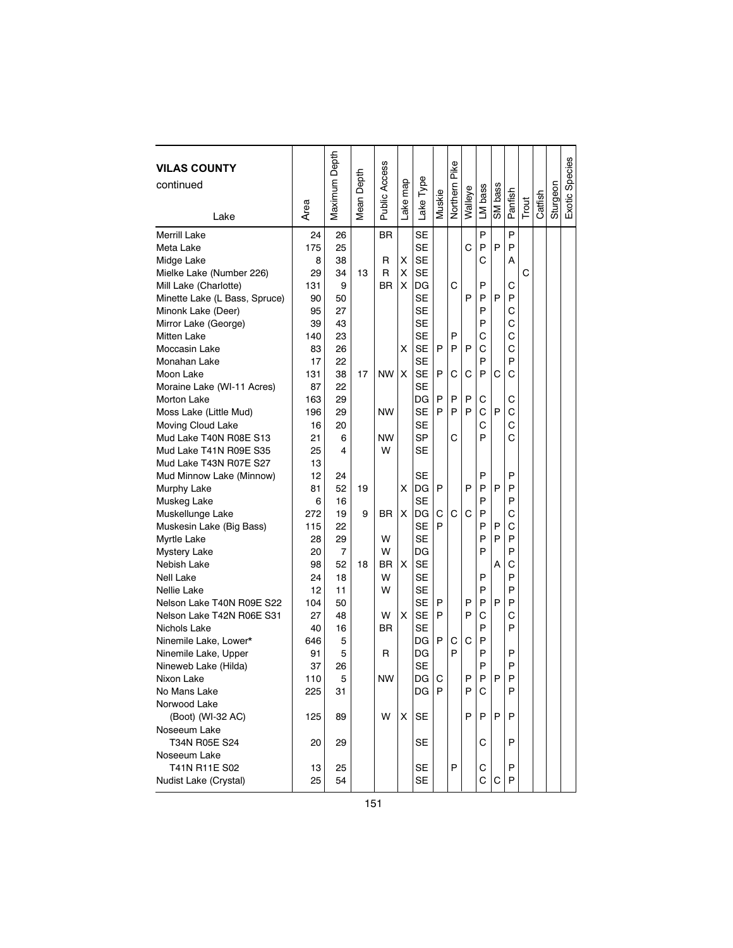| <b>VILAS COUNTY</b><br>continued |      | Maximum Depth  | Mean Depth | <b>Public Access</b> |         |           |        | Pike     |         |         |         |         |       |         |          | Exotic Species |
|----------------------------------|------|----------------|------------|----------------------|---------|-----------|--------|----------|---------|---------|---------|---------|-------|---------|----------|----------------|
|                                  |      |                |            |                      |         |           |        |          |         |         |         |         |       |         |          |                |
|                                  | Area |                |            |                      | ake map | Lake Type | Muskie | Northern | Walleye | LM bass | SM bass | Panfish | Trout | Catfish | Sturgeon |                |
| Lake                             |      |                |            |                      |         |           |        |          |         |         |         |         |       |         |          |                |
| <b>Merrill Lake</b>              | 24   | 26             |            | BR.                  |         | <b>SE</b> |        |          |         | P       |         | P       |       |         |          |                |
| Meta Lake                        | 175  | 25             |            |                      |         | <b>SE</b> |        |          | Ć       | P       | P       | P       |       |         |          |                |
| Midge Lake                       | 8    | 38             |            | R                    | X       | <b>SE</b> |        |          |         | С       |         | А       |       |         |          |                |
| Mielke Lake (Number 226)         | 29   | 34             | 13         | R                    | X       | <b>SE</b> |        |          |         |         |         |         | C     |         |          |                |
| Mill Lake (Charlotte)            | 131  | 9              |            | <b>BR</b>            | X       | DG        |        | С        |         | P       |         | С       |       |         |          |                |
| Minette Lake (L Bass, Spruce)    | 90   | 50             |            |                      |         | <b>SE</b> |        |          | P       | P       | P       | P       |       |         |          |                |
| Minonk Lake (Deer)               | 95   | 27             |            |                      |         | <b>SE</b> |        |          |         | P       |         | С       |       |         |          |                |
| Mirror Lake (George)             | 39   | 43             |            |                      |         | <b>SE</b> |        |          |         | P       |         | С       |       |         |          |                |
| <b>Mitten Lake</b>               | 140  | 23             |            |                      |         | <b>SE</b> |        | P        |         | C       |         | C       |       |         |          |                |
| Moccasin Lake                    | 83   | 26             |            |                      | X       | <b>SE</b> | P      | P        | P       | С       |         | С       |       |         |          |                |
| Monahan Lake                     | 17   | 22             |            |                      |         | <b>SE</b> |        |          |         | P       |         | P       |       |         |          |                |
| Moon Lake                        | 131  | 38             | 17         | <b>NW</b>            | X       | <b>SE</b> | P      | С        | C       | P       | С       | С       |       |         |          |                |
| Moraine Lake (WI-11 Acres)       | 87   | 22             |            |                      |         | SE        |        |          |         |         |         |         |       |         |          |                |
| <b>Morton Lake</b>               | 163  | 29             |            |                      |         | DG        | P      | P        | P       | С       |         | С       |       |         |          |                |
| Moss Lake (Little Mud)           | 196  | 29             |            | <b>NW</b>            |         | SE        | P      | P        | P       | С       | P       | C       |       |         |          |                |
| Moving Cloud Lake                | 16   | 20             |            |                      |         | SE        |        |          |         | С       |         | C       |       |         |          |                |
| Mud Lake T40N R08E S13           | 21   | 6              |            | <b>NW</b>            |         | SP        |        | С        |         | P       |         | Ć       |       |         |          |                |
| Mud Lake T41N R09E S35           | 25   | 4              |            | W                    |         | <b>SE</b> |        |          |         |         |         |         |       |         |          |                |
| Mud Lake T43N R07E S27           | 13   |                |            |                      |         |           |        |          |         |         |         |         |       |         |          |                |
| Mud Minnow Lake (Minnow)         | 12   | 24             |            |                      |         | SE        |        |          |         | P       |         | P       |       |         |          |                |
| Murphy Lake                      | 81   | 52             | 19         |                      | X       | DG        | P      |          | P       | P       | P       | P       |       |         |          |                |
| Muskeg Lake                      | 6    | 16             |            |                      |         | <b>SE</b> |        |          |         | P       |         | P       |       |         |          |                |
| Muskellunge Lake                 | 272  | 19             | 9          | BR.                  | X       | DG        | С      | С        | Ć       | P       |         | С       |       |         |          |                |
| Muskesin Lake (Big Bass)         | 115  | 22             |            |                      |         | <b>SE</b> | P      |          |         | P       | P       | С       |       |         |          |                |
| <b>Myrtle Lake</b>               | 28   | 29             |            | W                    |         | <b>SE</b> |        |          |         | P       | P       | P       |       |         |          |                |
| <b>Mystery Lake</b>              | 20   | $\overline{7}$ |            | W                    |         | DG        |        |          |         | P       |         | P       |       |         |          |                |
| Nebish Lake                      | 98   | 52             | 18         | ΒR                   | X       | <b>SE</b> |        |          |         |         | A       | С       |       |         |          |                |
| <b>Nell Lake</b>                 | 24   | 18             |            | W                    |         | SE        |        |          |         | P       |         | P       |       |         |          |                |
| Nellie Lake                      | 12   | 11             |            | W                    |         | <b>SE</b> |        |          |         | P       |         | P       |       |         |          |                |
| Nelson Lake T40N R09E S22        | 104  | 50             |            |                      |         | SE        | P      |          | P       | P       | P       | P       |       |         |          |                |
| Nelson Lake T42N R06E S31        | 27   | 48             |            | W                    | X       | <b>SE</b> | P      |          | P       | C       |         | C       |       |         |          |                |
| Nichols Lake                     | 40   | 16             |            | ΒR                   |         | SE        |        |          |         | P       |         | P       |       |         |          |                |
| Ninemile Lake, Lower*            | 646  | 5              |            |                      |         | DG        | P      | С        | C       | P       |         |         |       |         |          |                |
| Ninemile Lake, Upper             | 91   | 5              |            | R                    |         | DG        |        | P        |         | P       |         | P       |       |         |          |                |
| Nineweb Lake (Hilda)             | 37   | 26             |            |                      |         | <b>SE</b> |        |          |         | P       |         | P       |       |         |          |                |
| Nixon Lake                       | 110  | 5              |            | <b>NW</b>            |         | DG I      | C      |          | P       | P       | P       | P       |       |         |          |                |
| No Mans Lake                     | 225  | 31             |            |                      |         | DG        | P      |          | P       | С       |         | P       |       |         |          |                |
| Norwood Lake                     |      |                |            |                      |         |           |        |          |         |         |         |         |       |         |          |                |
| (Boot) (WI-32 AC)                | 125  | 89             |            | W                    | X       | SE        |        |          | P       | P       | P       | P       |       |         |          |                |
| Noseeum Lake                     |      |                |            |                      |         |           |        |          |         |         |         |         |       |         |          |                |
| T34N R05E S24                    | 20   | 29             |            |                      |         | SE        |        |          |         | С       |         | P       |       |         |          |                |
| Noseeum Lake                     |      |                |            |                      |         |           |        |          |         |         |         |         |       |         |          |                |
| T41N R11E S02                    | 13   | 25             |            |                      |         | SE        |        | P        |         | С       |         | P       |       |         |          |                |
| Nudist Lake (Crystal)            | 25   | 54             |            |                      |         | SE        |        |          |         | С       | С       | P       |       |         |          |                |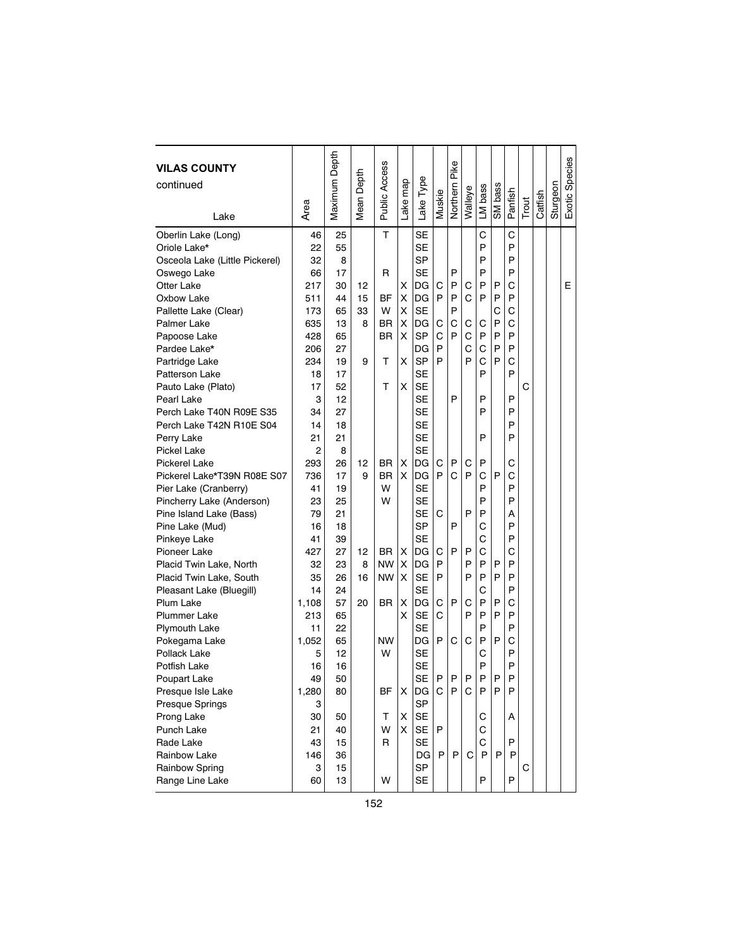| <b>VILAS COUNTY</b><br>continued |       | Maximum Depth | Mean Depth | Public Access |          |           |        | Pike     |         |         |         |         |       |         |          | Exotic Species |
|----------------------------------|-------|---------------|------------|---------------|----------|-----------|--------|----------|---------|---------|---------|---------|-------|---------|----------|----------------|
|                                  |       |               |            |               |          |           |        |          |         |         |         |         |       |         |          |                |
|                                  | Area  |               |            |               | Lake map | Lake Type | Muskie | Northern | Walleye | LM bass | SM bass | Panfish | Trout | Catfish | Sturgeon |                |
| Lake                             |       |               |            |               |          |           |        |          |         |         |         |         |       |         |          |                |
| Oberlin Lake (Long)              | 46    | 25            |            | T             |          | <b>SE</b> |        |          |         | C       |         | C       |       |         |          |                |
| Oriole Lake*                     | 22    | 55            |            |               |          | <b>SE</b> |        |          |         | P       |         | P       |       |         |          |                |
| Osceola Lake (Little Pickerel)   | 32    | 8             |            |               |          | <b>SP</b> |        |          |         | P       |         | P       |       |         |          |                |
| Oswego Lake                      | 66    | 17            |            | R             |          | SE        |        | P        |         | P       |         | P       |       |         |          |                |
| <b>Otter Lake</b>                | 217   | 30            | 12         |               | x        | DG        | С      | P        | С       | P       | P       | C       |       |         |          | Ε              |
| Oxbow Lake                       | 511   | 44            | 15         | BF            | X        | DG        | P      | P        | C       | P       | P       | P       |       |         |          |                |
| Pallette Lake (Clear)            | 173   | 65            | 33         | W             | X        | SE        |        | P        |         |         | C       | С       |       |         |          |                |
| Palmer Lake                      | 635   | 13            | 8          | <b>BR</b>     | X        | DG        | С      | C        | С       | С       | P       | C       |       |         |          |                |
| Papoose Lake                     | 428   | 65            |            | ΒR            | X        | <b>SP</b> | C      | P        | C       | P       | P       | P       |       |         |          |                |
| Pardee Lake*                     | 206   | 27            |            |               |          | DG        | P      |          | C       | C       | P       | P       |       |         |          |                |
| Partridge Lake                   | 234   | 19            | 9          | т             | X        | <b>SP</b> | P      |          | P       | C       | P       | C       |       |         |          |                |
| Patterson Lake                   | 18    | 17            |            |               |          | SE        |        |          |         | P       |         | P       |       |         |          |                |
| Pauto Lake (Plato)               | 17    | 52            |            | т             | x        | <b>SE</b> |        |          |         |         |         |         | C     |         |          |                |
| Pearl Lake                       | 3     | 12            |            |               |          | SE        |        | P        |         | P       |         | P       |       |         |          |                |
| Perch Lake T40N R09E S35         | 34    | 27            |            |               |          | SE        |        |          |         | P       |         | P       |       |         |          |                |
| Perch Lake T42N R10E S04         | 14    | 18            |            |               |          | <b>SE</b> |        |          |         |         |         | P       |       |         |          |                |
| Perry Lake                       | 21    | 21            |            |               |          | <b>SE</b> |        |          |         | P       |         | P       |       |         |          |                |
| Pickel Lake                      | 2     | 8             |            |               |          | <b>SE</b> |        |          |         |         |         |         |       |         |          |                |
| <b>Pickerel Lake</b>             | 293   | 26            | 12         | BR.           | х        | DG        | С      | P        | С       | P       |         | С       |       |         |          |                |
| Pickerel Lake*T39N R08E S07      | 736   | 17            | 9          | BR.           | X        | DG        | P      | C        | P       | C       | P       | C       |       |         |          |                |
| Pier Lake (Cranberry)            | 41    | 19            |            | W             |          | SE        |        |          |         | P       |         | P       |       |         |          |                |
| Pincherry Lake (Anderson)        | 23    | 25            |            | W             |          | SE        |        |          |         | P       |         | P       |       |         |          |                |
| Pine Island Lake (Bass)          | 79    | 21            |            |               |          | <b>SE</b> | C      |          | P       | P       |         | А       |       |         |          |                |
| Pine Lake (Mud)                  | 16    | 18            |            |               |          | <b>SP</b> |        | P        |         | С       |         | P       |       |         |          |                |
| Pinkeye Lake                     | 41    | 39            |            |               |          | <b>SE</b> |        |          |         | C       |         | P       |       |         |          |                |
| Pioneer Lake                     | 427   | 27            | 12         | <b>BR</b>     | х        | DG        | C      | P        | P       | C       |         | C       |       |         |          |                |
| Placid Twin Lake, North          | 32    | 23            | 8          | <b>NW</b>     | х        | DG        | P      |          | P       | P       | P       | P       |       |         |          |                |
| Placid Twin Lake, South          | 35    | 26            | 16         | <b>NW</b>     | X        | SE        | P      |          | P       | P       | P       | P       |       |         |          |                |
| Pleasant Lake (Bluegill)         | 14    | 24            |            |               |          | <b>SE</b> |        |          |         | C       |         | P       |       |         |          |                |
| Plum Lake                        | 1,108 | 57            | 20         | BR            | Χ        | DG        | C      | P        | С       | P       | P       | C       |       |         |          |                |
| <b>Plummer Lake</b>              | 213   | 65            |            |               | X        | <b>SE</b> | C      |          | P       | P       | P       | P       |       |         |          |                |
| Plymouth Lake                    | 11    | 22            |            |               |          | <b>SE</b> |        |          |         | P       |         | P       |       |         |          |                |
| Pokegama Lake                    | 1,052 | 65            |            | <b>NW</b>     |          | DG        | P      | С        | C       | P       | P       | C       |       |         |          |                |
| Pollack Lake                     | 5     | 12            |            | W             |          | <b>SE</b> |        |          |         | C       |         | P       |       |         |          |                |
| Potfish Lake                     | 16    | 16            |            |               |          | <b>SE</b> |        |          |         | P       |         | P       |       |         |          |                |
| Poupart Lake                     | 49    | 50            |            |               |          | SF I      | P      | P.       | P       | P       | P       | P       |       |         |          |                |
| Presque Isle Lake                | 1,280 | 80            |            | ΒF            | X        | DG        | C      | P        | C       | P       | P       | P       |       |         |          |                |
| Presque Springs                  | 3     |               |            |               |          | SP        |        |          |         |         |         |         |       |         |          |                |
| Prong Lake                       | 30    | 50            |            | т             | x        | SE        |        |          |         | С       |         | Α       |       |         |          |                |
| Punch Lake                       | 21    | 40            |            | W             | X        | SE        | P      |          |         | С       |         |         |       |         |          |                |
| Rade Lake                        | 43    | 15            |            | R             |          | SE        |        |          |         | C       |         | P       |       |         |          |                |
| Rainbow Lake                     | 146   | 36            |            |               |          | DG        | P      | P        | С       | P       | P       | P       |       |         |          |                |
| Rainbow Spring                   | 3     | 15            |            |               |          | <b>SP</b> |        |          |         |         |         |         | С     |         |          |                |
| Range Line Lake                  | 60    | 13            |            | W             |          | SE        |        |          |         | P       |         | P       |       |         |          |                |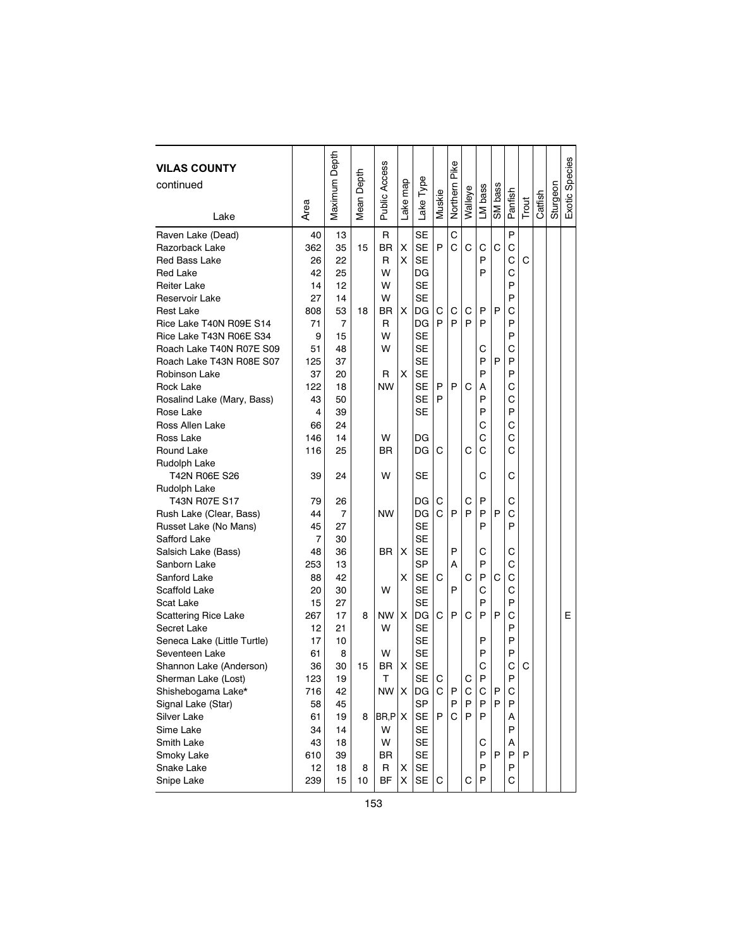| <b>VILAS COUNTY</b><br>continued |           | Maximum Depth  | Depth  | Public Access |          |                 |              | Pike     |         |         |         |         |       |         |          | Exotic Species |
|----------------------------------|-----------|----------------|--------|---------------|----------|-----------------|--------------|----------|---------|---------|---------|---------|-------|---------|----------|----------------|
|                                  |           |                |        |               |          |                 |              |          |         |         |         |         |       |         |          |                |
| Lake                             | Area      |                | Mean I |               | Lake map | Lake Type       | Muskie       | Northern | Walleye | LM bass | SM bass | Panfish | Trout | Catfish | Sturgeon |                |
| Raven Lake (Dead)                | 40        | 13             |        | R             |          | <b>SE</b>       |              | C        |         |         |         | P       |       |         |          |                |
| Razorback Lake                   | 362       | 35             | 15     | <b>BR</b>     | X        | SE              | P            | C        | C       | С       | C       | C       |       |         |          |                |
| Red Bass Lake                    | 26        | 22             |        | R             | X        | SE              |              |          |         | P       |         | C       | C     |         |          |                |
| Red Lake                         | 42        | 25             |        | W             |          | DG              |              |          |         | P       |         | C       |       |         |          |                |
| <b>Reiter Lake</b>               | 14        | 12             |        | W             |          | <b>SE</b>       |              |          |         |         |         | P       |       |         |          |                |
| Reservoir Lake                   | 27        | 14             |        | W             |          | <b>SE</b>       |              |          |         |         |         | P       |       |         |          |                |
| Rest Lake                        | 808       | 53             | 18     | ΒR            | X        | DG              | С            | С        | С       | P       | P       | С       |       |         |          |                |
| Rice Lake T40N R09E S14          | 71        | 7              |        | R             |          | DG              | P            | P        | P       | P       |         | P       |       |         |          |                |
| Rice Lake T43N R06E S34          | 9         | 15             |        | W             |          | <b>SE</b>       |              |          |         |         |         | P       |       |         |          |                |
| Roach Lake T40N R07E S09         | 51        | 48             |        | W             |          | <b>SE</b>       |              |          |         | С       |         | C       |       |         |          |                |
| Roach Lake T43N R08E S07         | 125       | 37             |        |               |          | SE              |              |          |         | P       | P       | P       |       |         |          |                |
| Robinson Lake                    | 37        | 20             |        | R             | x        | <b>SE</b>       |              |          |         | P       |         | P       |       |         |          |                |
| Rock Lake                        | 122       | 18             |        | <b>NW</b>     |          | SE              | P            | P        | C       | А       |         | C       |       |         |          |                |
| Rosalind Lake (Mary, Bass)       | 43        | 50             |        |               |          | <b>SE</b>       | P            |          |         | P       |         | C       |       |         |          |                |
| Rose Lake                        | 4         | 39             |        |               |          | SE              |              |          |         | P       |         | P       |       |         |          |                |
| Ross Allen Lake                  | 66        | 24             |        |               |          |                 |              |          |         | С       |         | C       |       |         |          |                |
| Ross Lake                        | 146       | 14             |        | W             |          | DG              |              |          |         | C       |         | C       |       |         |          |                |
| Round Lake                       | 116       | 25             |        | <b>BR</b>     |          | DG              | С            |          | С       | С       |         | C       |       |         |          |                |
| Rudolph Lake                     |           |                |        |               |          |                 |              |          |         |         |         |         |       |         |          |                |
| T42N R06E S26                    | 39        | 24             |        | W             |          | SE              |              |          |         | С       |         | С       |       |         |          |                |
| Rudolph Lake                     |           |                |        |               |          |                 |              |          |         |         |         |         |       |         |          |                |
| T43N R07E S17                    | 79        | 26             |        |               |          | DG              | C            |          | C       | P       |         | С       |       |         |          |                |
| Rush Lake (Clear, Bass)          | 44        | $\overline{7}$ |        | <b>NW</b>     |          | DG              | C            | P        | P       | P       | P       | C       |       |         |          |                |
| Russet Lake (No Mans)            | 45        | 27             |        |               |          | SE              |              |          |         | P       |         | P       |       |         |          |                |
| Safford Lake                     | 7         | 30             |        |               |          | <b>SE</b>       |              |          |         |         |         |         |       |         |          |                |
| Salsich Lake (Bass)              | 48        | 36             |        | ΒR            | х        | <b>SE</b>       |              | P        |         | С       |         | С       |       |         |          |                |
| Sanborn Lake                     | 253       | 13             |        |               |          | SP              |              | A        |         | P       |         | C       |       |         |          |                |
| Sanford Lake                     | 88        | 42             |        |               | х        | SE              | C            |          | C       | P       | C       | С       |       |         |          |                |
| Scaffold Lake                    | 20        | 30             |        | W             |          | SE              |              | P        |         | C       |         | C       |       |         |          |                |
| Scat Lake                        | 15        | 27             |        |               |          | <b>SE</b>       |              |          |         | P       |         | P       |       |         |          |                |
| <b>Scattering Rice Lake</b>      | 267       | 17             | 8      | NW            | X.       | DG              | C            | P        | С       | P       | P       | C       |       |         |          | Е              |
| Secret Lake                      | 12        | 21             |        | W             |          | <b>SE</b>       |              |          |         |         |         | P       |       |         |          |                |
| Seneca Lake (Little Turtle)      | 17        | 10             |        |               |          | <b>SE</b>       |              |          |         | P       |         | P       |       |         |          |                |
| Seventeen Lake                   | 61        | 8              |        | W             |          | <b>SE</b>       |              |          |         | P       |         | P       |       |         |          |                |
| Shannon Lake (Anderson)          | 36        | 30             | 15     | BR            | X        | <b>SE</b>       | $\mathsf{C}$ |          |         | С       |         | C<br>P  | С     |         |          |                |
| Sherman Lake (Lost)              | 123       | 19             |        | T.            |          | <b>SE</b>       |              |          | C       | P       |         |         |       |         |          |                |
| Shishebogama Lake*               | 716       | 42             |        | NW            | X        | DG              | C            | P        | С       | С       | Ρ       | С       |       |         |          |                |
| Signal Lake (Star)               | 58        | 45             |        |               |          | SP              | P            | P<br>C   | Ρ       | P       | P       | P       |       |         |          |                |
| Silver Lake                      | 61        | 19             | 8      | $BR, P$ $X$   |          | SE              |              |          | P       | P       |         | А<br>P  |       |         |          |                |
| Sime Lake<br>Smith Lake          | 34        | 14             |        | W<br>W        |          | <b>SE</b><br>SE |              |          |         |         |         | А       |       |         |          |                |
|                                  | 43        | 18<br>39       |        | BR            |          | SE              |              |          |         | С<br>P  | P       | P       | P     |         |          |                |
| Smoky Lake<br>Snake Lake         | 610<br>12 | 18             | 8      | R             | x        | <b>SE</b>       |              |          |         | P       |         | P       |       |         |          |                |
| Snipe Lake                       | 239       | 15             | 10     | <b>BF</b>     | X        | SE              | С            |          | С       | P       |         | С       |       |         |          |                |
|                                  |           |                |        |               |          |                 |              |          |         |         |         |         |       |         |          |                |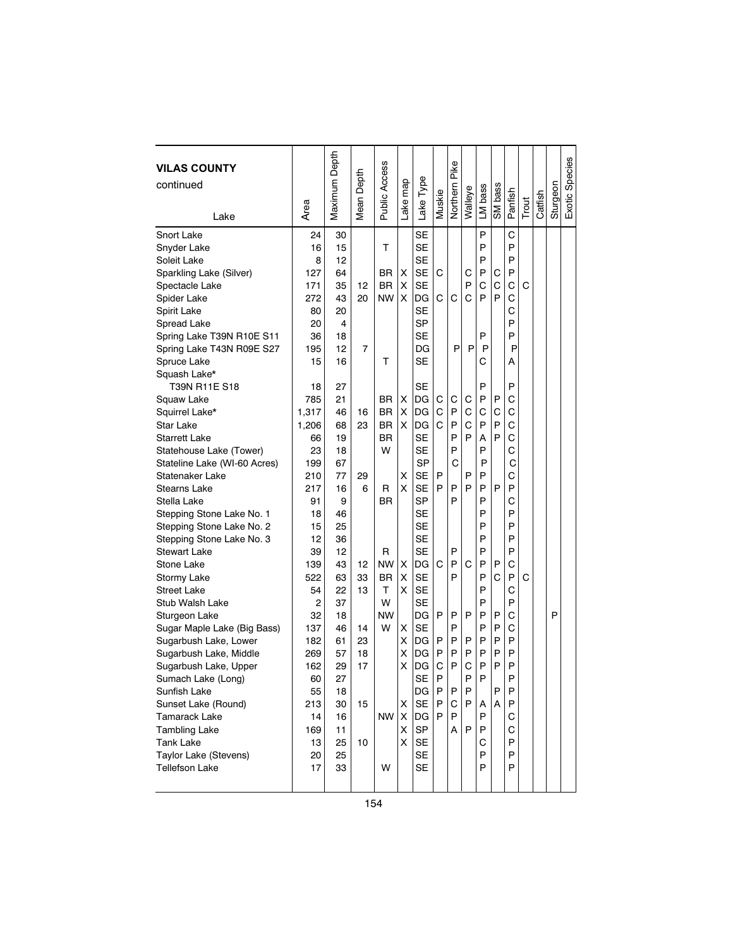| <b>VILAS COUNTY</b>          |       | Maximum Depth | Depth          | Public Access |         |           |        | Pike     |         |         |         |         |       |         |          | Exotic Species |
|------------------------------|-------|---------------|----------------|---------------|---------|-----------|--------|----------|---------|---------|---------|---------|-------|---------|----------|----------------|
| continued                    |       |               |                |               |         |           |        |          |         |         |         |         |       |         |          |                |
|                              | Area  |               | Mean I         |               | ake map | Lake Type | Muskie | Northern | Walleye | LM bass | SM bass | Panfish | Trout | Catfish | Sturgeon |                |
| Lake                         |       |               |                |               |         |           |        |          |         |         |         |         |       |         |          |                |
| Snort Lake                   | 24    | 30            |                |               |         | <b>SE</b> |        |          |         | P       |         | C       |       |         |          |                |
| Snyder Lake                  | 16    | 15            |                | т             |         | SE        |        |          |         | P       |         | P       |       |         |          |                |
| Soleit Lake                  | 8     | 12            |                |               |         | <b>SE</b> |        |          |         | P       |         | P       |       |         |          |                |
| Sparkling Lake (Silver)      | 127   | 64            |                | <b>BR</b>     | х       | <b>SE</b> | С      |          | С       | P       | С       | P       |       |         |          |                |
| Spectacle Lake               | 171   | 35            | 12             | BR            | X       | <b>SE</b> |        |          | P       | C       | C       | C       | C     |         |          |                |
| Spider Lake                  | 272   | 43            | 20             | <b>NW</b>     | X       | DG        | C      | С        | C       | P       | P       | C       |       |         |          |                |
| Spirit Lake                  | 80    | 20            |                |               |         | <b>SE</b> |        |          |         |         |         | С       |       |         |          |                |
| Spread Lake                  | 20    | 4             |                |               |         | SP        |        |          |         |         |         | P       |       |         |          |                |
| Spring Lake T39N R10E S11    | 36    | 18            |                |               |         | SE        |        |          |         | P       |         | P       |       |         |          |                |
| Spring Lake T43N R09E S27    | 195   | 12            | $\overline{7}$ |               |         | DG        |        | P        | P       | P       |         | P       |       |         |          |                |
| Spruce Lake                  | 15    | 16            |                | т             |         | SE        |        |          |         | С       |         | Α       |       |         |          |                |
| Squash Lake*                 |       |               |                |               |         |           |        |          |         |         |         |         |       |         |          |                |
| T39N R11E S18                | 18    | 27            |                |               |         | <b>SE</b> |        |          |         | P       |         | P       |       |         |          |                |
| Squaw Lake                   | 785   | 21            |                | <b>BR</b>     | х       | DG        | С      | С        | С       | P       | P       | C       |       |         |          |                |
| Squirrel Lake*               | 1,317 | 46            | 16             | <b>BR</b>     | X       | DG        | C      | P        | C       | C       | C       | C       |       |         |          |                |
| Star Lake                    | 1,206 | 68            | 23             | BR.           | X       | DG        | C      | P        | С       | P       | P       | C       |       |         |          |                |
| <b>Starrett Lake</b>         | 66    | 19            |                | <b>BR</b>     |         | SE        |        | P        | P       | Α       | P       | C       |       |         |          |                |
| Statehouse Lake (Tower)      | 23    | 18            |                | W             |         | SE        |        | P        |         | P       |         | Ċ       |       |         |          |                |
| Stateline Lake (WI-60 Acres) | 199   | 67            |                |               |         | <b>SP</b> |        | C        |         | P       |         | С       |       |         |          |                |
| Statenaker Lake              | 210   | 77            | 29             |               | X       | <b>SE</b> | P      |          | P       | P       |         | С       |       |         |          |                |
| Stearns Lake                 | 217   | 16            | 6              | R             | X       | <b>SE</b> | P      | P        | P       | P       | P       | P       |       |         |          |                |
| Stella Lake                  | 91    | 9             |                | BR.           |         | SP        |        | P        |         | P       |         | C       |       |         |          |                |
| Stepping Stone Lake No. 1    | 18    | 46            |                |               |         | <b>SE</b> |        |          |         | P       |         | P       |       |         |          |                |
| Stepping Stone Lake No. 2    | 15    | 25            |                |               |         | SE        |        |          |         | P       |         | P       |       |         |          |                |
| Stepping Stone Lake No. 3    | 12    | 36            |                |               |         | <b>SE</b> |        |          |         | P       |         | P       |       |         |          |                |
| Stewart Lake                 | 39    | 12            |                | R             |         | SE        |        | P        |         | P       |         | P       |       |         |          |                |
| Stone Lake                   | 139   | 43            | 12             | NW            | x       | DG        | C      | P        | C       | P       | P       | C       |       |         |          |                |
| Stormy Lake                  | 522   | 63            | 33             | BR            | х       | <b>SE</b> |        | P        |         | P       | C       | P       | C     |         |          |                |
| <b>Street Lake</b>           | 54    | 22            | 13             | т             | X       | <b>SE</b> |        |          |         | P       |         | C       |       |         |          |                |
| Stub Walsh Lake              | 2     | 37            |                | W             |         | <b>SE</b> |        |          |         | P       |         | P       |       |         |          |                |
| Sturgeon Lake                | 32    | 18            |                | <b>NW</b>     |         | DG        | P      | P        | P       | P       | P       | C       |       |         | P        |                |
| Sugar Maple Lake (Big Bass)  | 137   | 46            | 14             | W             | x       | <b>SE</b> |        | P        |         | P       | P       | С       |       |         |          |                |
| Sugarbush Lake, Lower        | 182   | 61            | 23             |               | Χ       | DG        | P      | P        | P       | P       | P       | P       |       |         |          |                |
| Sugarbush Lake, Middle       | 269   | 57            | 18             |               | X       | DG        | P      | P        | P       | P       | P       | P       |       |         |          |                |
| Sugarbush Lake, Upper        | 162   | 29            | 17             |               | X       | DG        | C      | P        | C       | P       | P       | P       |       |         |          |                |
| Sumach Lake (Long)           | 60    | 27            |                |               |         | <b>SE</b> | P      |          | Þ       | P       |         | P       |       |         |          |                |
| Sunfish Lake                 | 55    | 18            |                |               |         | DG        | P      | P        | P       |         | P       | P       |       |         |          |                |
| Sunset Lake (Round)          | 213   | 30            | 15             |               | X.      | <b>SE</b> | P      | С        | P       | A       | Α       | P       |       |         |          |                |
| Tamarack Lake                | 14    | 16            |                | NW            | X       | DG        | P      | P        |         | P       |         | С       |       |         |          |                |
| <b>Tambling Lake</b>         | 169   | 11            |                |               | X       | SP        |        | A        | P       | P       |         | С       |       |         |          |                |
| Tank Lake                    | 13    | 25            | 10             |               | X       | <b>SE</b> |        |          |         | С       |         | P       |       |         |          |                |
| Taylor Lake (Stevens)        | 20    | 25            |                |               |         | SE        |        |          |         | P       |         | P       |       |         |          |                |
| <b>Tellefson Lake</b>        | 17    | 33            |                | W             |         | <b>SE</b> |        |          |         | P       |         | P       |       |         |          |                |
|                              |       |               |                |               |         |           |        |          |         |         |         |         |       |         |          |                |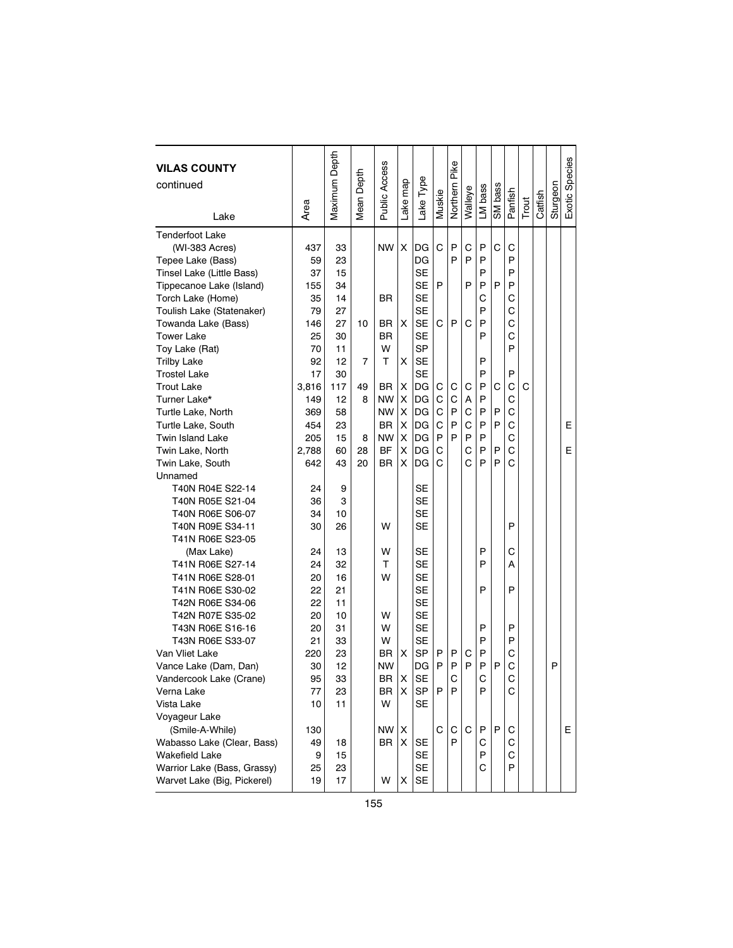| <b>VILAS COUNTY</b>         |       | Maximum Depth | Depth  | Public Access |                           |           |        | Northern Pike |         |         |         |         |       |         |          | Exotic Species |
|-----------------------------|-------|---------------|--------|---------------|---------------------------|-----------|--------|---------------|---------|---------|---------|---------|-------|---------|----------|----------------|
| continued                   |       |               |        |               | Lake map                  | -ake Type |        |               |         |         | SM bass |         |       |         | Sturgeon |                |
|                             | Area  |               | Mean I |               |                           |           | Muskie |               | Walleye | LM bass |         | Panfish | Trout | Catfish |          |                |
| Lake                        |       |               |        |               |                           |           |        |               |         |         |         |         |       |         |          |                |
| <b>Tenderfoot Lake</b>      |       |               |        |               |                           |           |        |               |         |         |         |         |       |         |          |                |
| (WI-383 Acres)              | 437   | 33            |        | <b>NW</b>     | X                         | DG        | C      | P             | C       | P       | C       | С       |       |         |          |                |
| Tepee Lake (Bass)           | 59    | 23            |        |               |                           | DG        |        | P             | P       | P       |         | P       |       |         |          |                |
| Tinsel Lake (Little Bass)   | 37    | 15            |        |               |                           | <b>SE</b> |        |               |         | P       |         | P       |       |         |          |                |
| Tippecanoe Lake (Island)    | 155   | 34            |        |               |                           | <b>SE</b> | P      |               | P       | P       | P       | P       |       |         |          |                |
| Torch Lake (Home)           | 35    | 14            |        | BR            |                           | <b>SE</b> |        |               |         | С       |         | C       |       |         |          |                |
| Toulish Lake (Statenaker)   | 79    | 27            |        |               |                           | <b>SE</b> |        |               |         | P       |         | С       |       |         |          |                |
| Towanda Lake (Bass)         | 146   | 27            | 10     | BR            | X                         | <b>SE</b> | C      | P             | C       | P       |         | C       |       |         |          |                |
| <b>Tower Lake</b>           | 25    | 30            |        | BR            |                           | <b>SE</b> |        |               |         | P       |         | C       |       |         |          |                |
| Toy Lake (Rat)              | 70    | 11            |        | W             |                           | <b>SP</b> |        |               |         |         |         | P       |       |         |          |                |
| <b>Trilby Lake</b>          | 92    | 12            | 7      | т             | х                         | <b>SE</b> |        |               |         | P       |         |         |       |         |          |                |
| <b>Trostel Lake</b>         | 17    | 30            |        |               |                           | <b>SE</b> |        |               |         | P       |         | P       |       |         |          |                |
| <b>Trout Lake</b>           | 3,816 | 117           | 49     | <b>BR</b>     | X                         | DG        | С      | С             | С       | P       | С       | C       | С     |         |          |                |
| Turner Lake*                | 149   | 12            | 8      | NW            | X                         | DG        | C      | C             | Α       | P       |         | C       |       |         |          |                |
| Turtle Lake, North          | 369   | 58            |        | <b>NW</b>     | X                         | DG        | C      | P             | C       | P       | P       | С       |       |         |          |                |
| Turtle Lake, South          | 454   | 23            |        | <b>BR</b>     | х                         | DG        | C      | P             | C       | P       | P       | С       |       |         |          | E              |
| <b>Twin Island Lake</b>     | 205   | 15            | 8      | <b>NW</b>     | X                         | DG        | P      | P             | P       | P       |         | C       |       |         |          |                |
| Twin Lake, North            | 2,788 | 60            | 28     | <b>BF</b>     | X                         | DG        | C      |               | C       | P       | P       | C       |       |         |          | E              |
| Twin Lake, South            | 642   | 43            | 20     | BR            | X                         | DG        | С      |               | C       | P       | P       | C       |       |         |          |                |
| Unnamed                     |       |               |        |               |                           |           |        |               |         |         |         |         |       |         |          |                |
| T40N R04E S22-14            | 24    | 9             |        |               |                           | SE        |        |               |         |         |         |         |       |         |          |                |
| T40N R05E S21-04            | 36    | 3             |        |               |                           | <b>SE</b> |        |               |         |         |         |         |       |         |          |                |
| T40N R06E S06-07            | 34    | 10            |        |               |                           | <b>SE</b> |        |               |         |         |         |         |       |         |          |                |
| T40N R09E S34-11            | 30    | 26            |        | W             |                           | <b>SE</b> |        |               |         |         |         | P       |       |         |          |                |
| T41N R06E S23-05            |       |               |        |               |                           |           |        |               |         |         |         |         |       |         |          |                |
| (Max Lake)                  | 24    | 13            |        | w             |                           | SE        |        |               |         | P       |         | С       |       |         |          |                |
| T41N R06E S27-14            | 24    | 32            |        | т             |                           | <b>SE</b> |        |               |         | P       |         | А       |       |         |          |                |
| T41N R06E S28-01            | 20    | 16            |        | W             |                           | <b>SE</b> |        |               |         |         |         |         |       |         |          |                |
| T41N R06E S30-02            | 22    | 21            |        |               |                           | <b>SE</b> |        |               |         | P       |         | P       |       |         |          |                |
| T42N R06E S34-06            | 22    | 11            |        |               |                           | <b>SE</b> |        |               |         |         |         |         |       |         |          |                |
| T42N R07E S35-02            | 20    | 10            |        | w             |                           | <b>SE</b> |        |               |         |         |         |         |       |         |          |                |
| T43N R06E S16-16            | 20    | 31            |        | w             |                           | <b>SE</b> |        |               |         | P       |         | P       |       |         |          |                |
| T43N R06E S33-07            | 21    | 33            |        | w             |                           | <b>SE</b> |        |               |         | P       |         | P       |       |         |          |                |
| Van Vliet Lake              | 220   | 23            |        | ΒR            | x                         | <b>SP</b> | P      | P             | С       | P       |         | C       |       |         |          |                |
| Vance Lake (Dam, Dan)       | 30    | 12            |        | <b>NW</b>     |                           | DG        | P      | P             | P       | P       | P       | C       |       |         | P        |                |
| Vandercook Lake (Crane)     | 95    | 33            |        | BR            | $\boldsymbol{\mathsf{X}}$ | <b>SE</b> |        | C             |         | $\cap$  |         | C       |       |         |          |                |
| Verna Lake                  | 77    | 23            |        | BR            | х                         | SP        | P      | P             |         | P       |         | C       |       |         |          |                |
| Vista Lake                  | 10    | 11            |        | W             |                           | <b>SE</b> |        |               |         |         |         |         |       |         |          |                |
| Voyageur Lake               |       |               |        |               |                           |           |        |               |         |         |         |         |       |         |          |                |
| (Smile-A-While)             | 130   |               |        | NW            | X                         |           | С      | С             | C       | P       | P       | С       |       |         |          | Е              |
| Wabasso Lake (Clear, Bass)  | 49    | 18            |        | BR            | X                         | <b>SE</b> |        | P             |         | С       |         | С       |       |         |          |                |
| Wakefield Lake              | 9     | 15            |        |               |                           | <b>SE</b> |        |               |         | P       |         | C       |       |         |          |                |
| Warrior Lake (Bass, Grassy) | 25    | 23            |        |               |                           | SE        |        |               |         | С       |         | P       |       |         |          |                |
| Warvet Lake (Big, Pickerel) | 19    | 17            |        | W             | х                         | SE        |        |               |         |         |         |         |       |         |          |                |